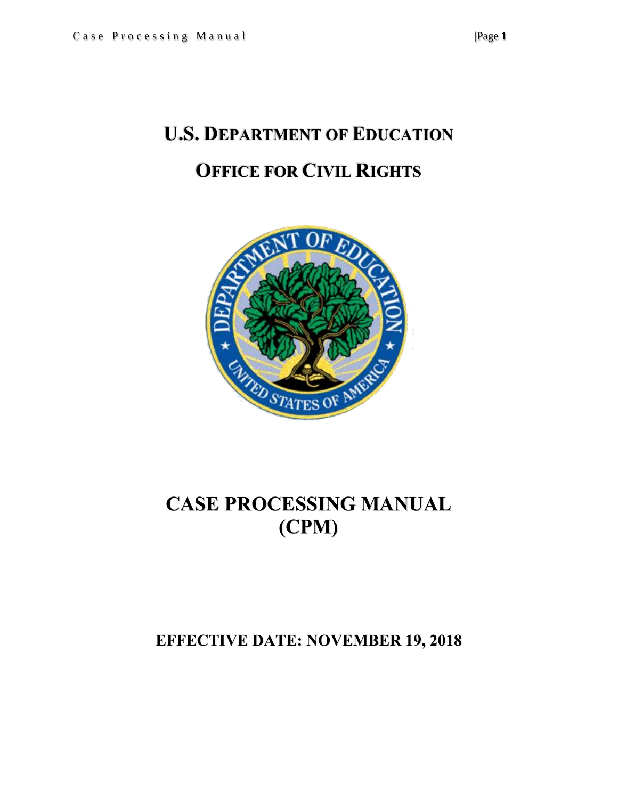# **U.S. DEPARTMENT OF EDUCATION OFFICE FOR CIVIL RIGHTS**



## **CASE PROCESSING MANUAL (CPM)**

## **EFFECTIVE DATE: NOVEMBER 19, 2018**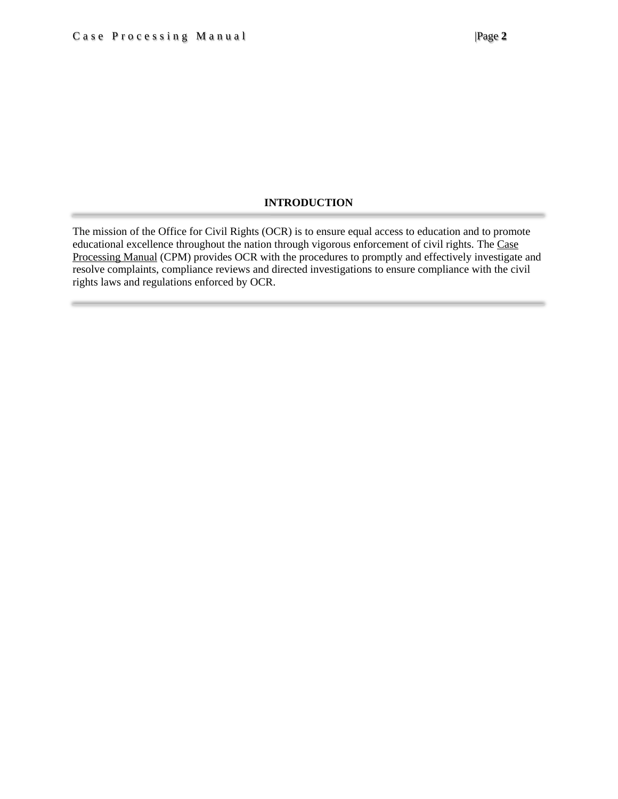### **INTRODUCTION**

The mission of the Office for Civil Rights (OCR) is to ensure equal access to education and to promote educational excellence throughout the nation through vigorous enforcement of civil rights. The Case Processing Manual (CPM) provides OCR with the procedures to promptly and effectively investigate and resolve complaints, compliance reviews and directed investigations to ensure compliance with the civil rights laws and regulations enforced by OCR.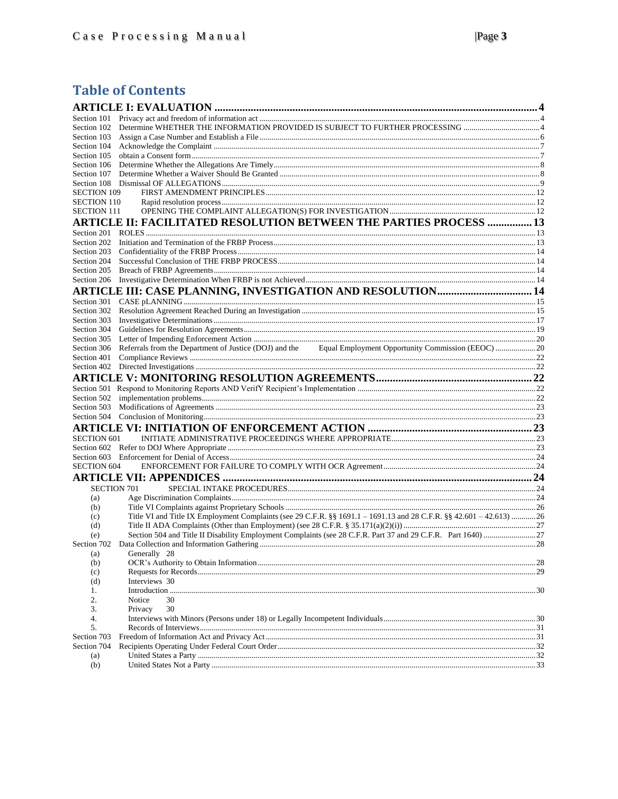### **Table of Contents**

<span id="page-2-0"></span>

| Section 102        |                                                                                                                      |  |
|--------------------|----------------------------------------------------------------------------------------------------------------------|--|
| Section 103        |                                                                                                                      |  |
| Section 104        |                                                                                                                      |  |
| Section 105        |                                                                                                                      |  |
|                    |                                                                                                                      |  |
|                    |                                                                                                                      |  |
|                    |                                                                                                                      |  |
| <b>SECTION 109</b> |                                                                                                                      |  |
| <b>SECTION 110</b> |                                                                                                                      |  |
| SECTION 111        |                                                                                                                      |  |
|                    | ARTICLE II: FACILITATED RESOLUTION BETWEEN THE PARTIES PROCESS  13                                                   |  |
|                    |                                                                                                                      |  |
|                    |                                                                                                                      |  |
|                    |                                                                                                                      |  |
|                    |                                                                                                                      |  |
|                    |                                                                                                                      |  |
|                    |                                                                                                                      |  |
|                    | <b>ARTICLE III: CASE PLANNING, INVESTIGATION AND RESOLUTION 14</b>                                                   |  |
|                    |                                                                                                                      |  |
|                    |                                                                                                                      |  |
|                    |                                                                                                                      |  |
|                    |                                                                                                                      |  |
|                    |                                                                                                                      |  |
|                    |                                                                                                                      |  |
|                    | Section 306 Referrals from the Department of Justice (DOJ) and the Equal Employment Opportunity Commission (EEOC) 20 |  |
| Section 401        |                                                                                                                      |  |
|                    |                                                                                                                      |  |
|                    |                                                                                                                      |  |
|                    |                                                                                                                      |  |
|                    |                                                                                                                      |  |
|                    |                                                                                                                      |  |
|                    |                                                                                                                      |  |
|                    |                                                                                                                      |  |
| <b>SECTION 601</b> |                                                                                                                      |  |
|                    |                                                                                                                      |  |
|                    |                                                                                                                      |  |
| <b>SECTION 604</b> |                                                                                                                      |  |
|                    |                                                                                                                      |  |
|                    |                                                                                                                      |  |
| <b>SECTION 701</b> |                                                                                                                      |  |
| (a)                |                                                                                                                      |  |
| (b)                |                                                                                                                      |  |
| (c)                | Title VI and Title IX Employment Complaints (see 29 C.F.R. §§ 1691.1 - 1691.13 and 28 C.F.R. §§ 42.601 - 42.613) 26  |  |
| (d)                |                                                                                                                      |  |
| (e)                |                                                                                                                      |  |
|                    |                                                                                                                      |  |
| (a)                | Generally 28                                                                                                         |  |
| (b)                |                                                                                                                      |  |
| (c)                |                                                                                                                      |  |
| (d)                | Interviews 30                                                                                                        |  |
| 1.                 | Introduction                                                                                                         |  |
| 2.                 | Notice<br>30                                                                                                         |  |
| 3.                 | 30<br>Privacy                                                                                                        |  |
| 4.                 |                                                                                                                      |  |
| 5.                 |                                                                                                                      |  |
| Section 703        |                                                                                                                      |  |
| Section 704        |                                                                                                                      |  |
| (a)                |                                                                                                                      |  |
| (b)                |                                                                                                                      |  |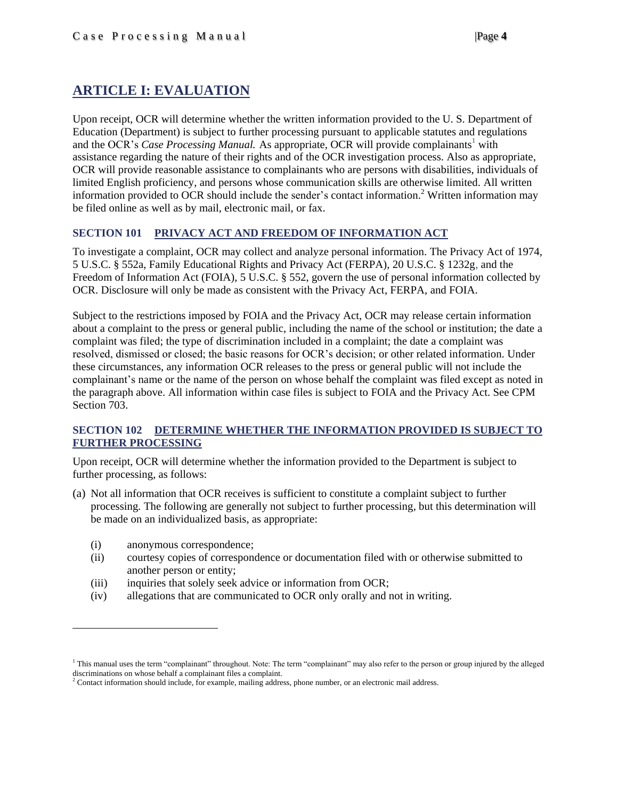### **ARTICLE I: EVALUATION**

Upon receipt, OCR will determine whether the written information provided to the U. S. Department of Education (Department) is subject to further processing pursuant to applicable statutes and regulations and the OCR's *Case Processing Manual.* As appropriate, OCR will provide complainants<sup>1</sup> with assistance regarding the nature of their rights and of the OCR investigation process. Also as appropriate, OCR will provide reasonable assistance to complainants who are persons with disabilities, individuals of limited English proficiency, and persons whose communication skills are otherwise limited. All written information provided to OCR should include the sender's contact information.<sup>2</sup> Written information may be filed online as well as by mail, electronic mail, or fax.

### <span id="page-3-0"></span>**SECTION 101 PRIVACY ACT AND FREEDOM OF INFORMATION ACT**

To investigate a complaint, OCR may collect and analyze personal information. The Privacy Act of 1974, 5 U.S.C. § 552a, Family Educational Rights and Privacy Act (FERPA), 20 U.S.C. § 1232g, and the Freedom of Information Act (FOIA), 5 U.S.C. § 552, govern the use of personal information collected by OCR. Disclosure will only be made as consistent with the Privacy Act, FERPA, and FOIA.

Subject to the restrictions imposed by FOIA and the Privacy Act, OCR may release certain information about a complaint to the press or general public, including the name of the school or institution; the date a complaint was filed; the type of discrimination included in a complaint; the date a complaint was resolved, dismissed or closed; the basic reasons for OCR's decision; or other related information. Under these circumstances, any information OCR releases to the press or general public will not include the complainant's name or the name of the person on whose behalf the complaint was filed except as noted in the paragraph above. All information within case files is subject to FOIA and the Privacy Act. See CPM Section 703.

### <span id="page-3-1"></span>**SECTION 102 DETERMINE WHETHER THE INFORMATION PROVIDED IS SUBJECT TO FURTHER PROCESSING**

Upon receipt, OCR will determine whether the information provided to the Department is subject to further processing, as follows:

- (a) Not all information that OCR receives is sufficient to constitute a complaint subject to further processing*.* The following are generally not subject to further processing, but this determination will be made on an individualized basis, as appropriate:
	- (i) anonymous correspondence;

 $\overline{\phantom{a}}$ 

- (ii) courtesy copies of correspondence or documentation filed with or otherwise submitted to another person or entity;
- (iii) inquiries that solely seek advice or information from OCR;
- (iv) allegations that are communicated to OCR only orally and not in writing.

<sup>1</sup> This manual uses the term "complainant" throughout. Note: The term "complainant" may also refer to the person or group injured by the alleged discriminations on whose behalf a complainant files a complaint.

<sup>&</sup>lt;sup>2</sup> Contact information should include, for example, mailing address, phone number, or an electronic mail address.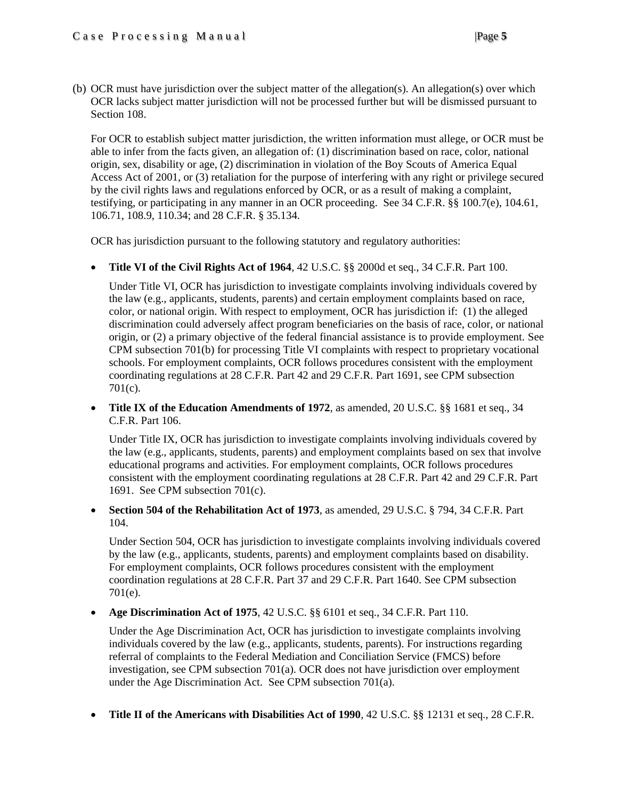(b) OCR must have jurisdiction over the subject matter of the allegation(s). An allegation(s) over which OCR lacks subject matter jurisdiction will not be processed further but will be dismissed pursuant to Section 108.

For OCR to establish subject matter jurisdiction, the written information must allege, or OCR must be able to infer from the facts given, an allegation of: (1) discrimination based on race, color, national origin, sex, disability or age, (2) discrimination in violation of the Boy Scouts of America Equal Access Act of 2001, or (3) retaliation for the purpose of interfering with any right or privilege secured by the civil rights laws and regulations enforced by OCR, or as a result of making a complaint, testifying, or participating in any manner in an OCR proceeding. See 34 C.F.R. §§ 100.7(e), 104.61, 106.71, 108.9, 110.34; and 28 C.F.R. § 35.134.

OCR has jurisdiction pursuant to the following statutory and regulatory authorities:

**Title VI of the Civil Rights Act of 1964**, 42 U.S.C. §§ 2000d et seq., 34 C.F.R. Part 100.

Under Title VI, OCR has jurisdiction to investigate complaints involving individuals covered by the law (e.g., applicants, students, parents) and certain employment complaints based on race, color, or national origin. With respect to employment, OCR has jurisdiction if: (1) the alleged discrimination could adversely affect program beneficiaries on the basis of race, color, or national origin, or (2) a primary objective of the federal financial assistance is to provide employment. See CPM subsection 701(b) for processing Title VI complaints with respect to proprietary vocational schools. For employment complaints, OCR follows procedures consistent with the employment coordinating regulations at 28 C.F.R. Part 42 and 29 C.F.R. Part 1691, see CPM subsection 701(c).

• **Title IX of the Education Amendments of 1972**, as amended, 20 U.S.C. §§ 1681 et seq., 34 C.F.R. Part 106.

Under Title IX, OCR has jurisdiction to investigate complaints involving individuals covered by the law (e.g., applicants, students, parents) and employment complaints based on sex that involve educational programs and activities. For employment complaints, OCR follows procedures consistent with the employment coordinating regulations at 28 C.F.R. Part 42 and 29 C.F.R. Part 1691. See CPM subsection 701(c).

 **Section 504 of the Rehabilitation Act of 1973**, as amended, 29 U.S.C. § 794, 34 C.F.R. Part 104.

Under Section 504, OCR has jurisdiction to investigate complaints involving individuals covered by the law (e.g., applicants, students, parents) and employment complaints based on disability. For employment complaints, OCR follows procedures consistent with the employment coordination regulations at 28 C.F.R. Part 37 and 29 C.F.R. Part 1640. See CPM subsection 701(e).

**Age Discrimination Act of 1975**, 42 U.S.C. §§ 6101 et seq., 34 C.F.R. Part 110.

Under the Age Discrimination Act, OCR has jurisdiction to investigate complaints involving individuals covered by the law (e.g., applicants, students, parents). For instructions regarding referral of complaints to the Federal Mediation and Conciliation Service (FMCS) before investigation, see CPM subsection 701(a). OCR does not have jurisdiction over employment under the Age Discrimination Act. See CPM su[bsection 701\(a\).](http://www2.ed.gov/print/about/offices/list/ocr/docs/ocrcpm.html#VI_1_a_1)

**Title II of the Americans** *w***ith Disabilities Act of 1990**, 42 U.S.C. §§ 12131 et seq., 28 C.F.R.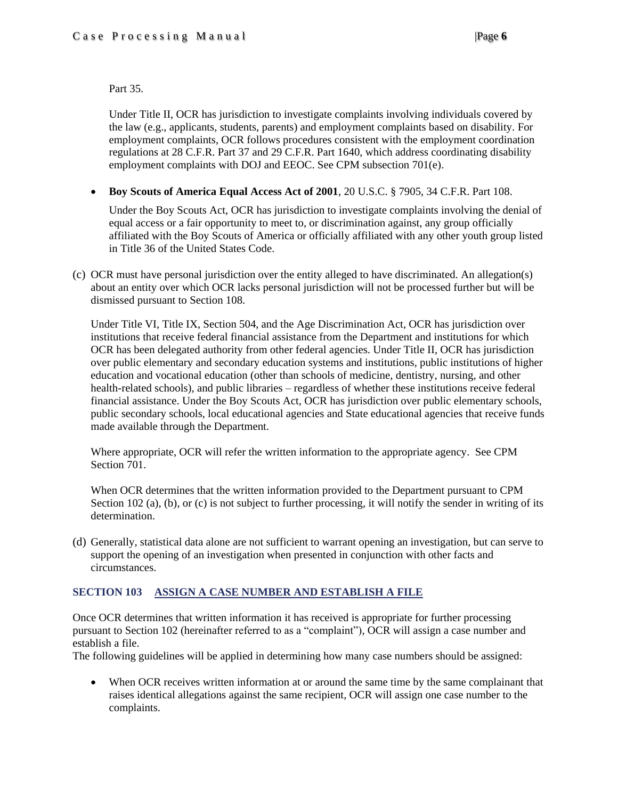Part 35.

Under Title II, OCR has jurisdiction to investigate complaints involving individuals covered by the law (e.g., applicants, students, parents) and employment complaints based on disability. For employment complaints, OCR follows procedures consistent with the employment coordination regulations at 28 C.F.R. Part 37 and 29 C.F.R. Part 1640, which address coordinating disability employment complaints with DOJ and EEOC. See CPM subsection 701(e).

**Boy Scouts of America Equal Access Act of 2001**, 20 U.S.C. § 7905, 34 C.F.R. Part 108.

Under the Boy Scouts Act, OCR has jurisdiction to investigate complaints involving the denial of equal access or a fair opportunity to meet to, or discrimination against, any group officially affiliated with the Boy Scouts of America or officially affiliated with any other youth group listed in Title 36 of the United States Code.

(c) OCR must have personal jurisdiction over the entity alleged to have discriminated. An allegation(s) about an entity over which OCR lacks personal jurisdiction will not be processed further but will be dismissed pursuant to Section 108.

Under Title VI, Title IX, Section 504, and the Age Discrimination Act, OCR has jurisdiction over institutions that receive federal financial assistance from the Department and institutions for which OCR has been delegated authority from other federal agencies. Under Title II, OCR has jurisdiction over public elementary and secondary education systems and institutions, public institutions of higher education and vocational education (other than schools of medicine, dentistry, nursing, and other health-related schools), and public libraries – regardless of whether these institutions receive federal financial assistance. Under the Boy Scouts Act, OCR has jurisdiction over public elementary schools, public secondary schools, local educational agencies and State educational agencies that receive funds made available through the Department.

Where appropriate, OCR will refer the written information to the appropriate agency. See CPM Section 701.

When OCR determines that the written information provided to the Department pursuant to CPM Section 102 (a), (b), or (c) is not subject to further processing, it will notify the sender in writing of its determination.

(d) Generally, statistical data alone are not sufficient to warrant opening an investigation, but can serve to support the opening of an investigation when presented in conjunction with other facts and circumstances.

### <span id="page-5-0"></span>**SECTION 103 ASSIGN A CASE NUMBER AND ESTABLISH A FILE**

Once OCR determines that written information it has received is appropriate for further processing pursuant to Section 102 (hereinafter referred to as a "complaint"), OCR will assign a case number and establish a file.

The following guidelines will be applied in determining how many case numbers should be assigned:

 When OCR receives written information at or around the same time by the same complainant that raises identical allegations against the same recipient, OCR will assign one case number to the complaints.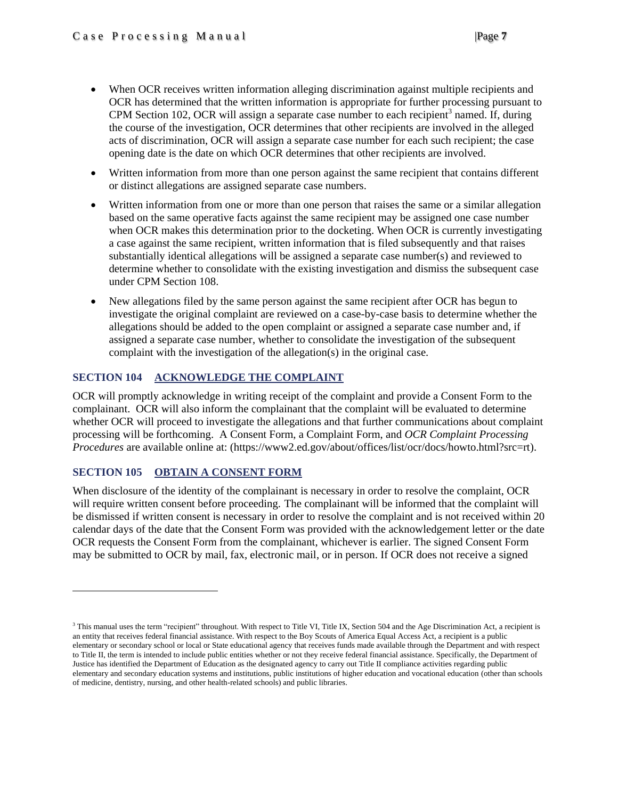- When OCR receives written information alleging discrimination against multiple recipients and OCR has determined that the written information is appropriate for further processing pursuant to CPM Section 102, OCR will assign a separate case number to each recipient<sup>3</sup> named. If, during the course of the investigation, OCR determines that other recipients are involved in the alleged acts of discrimination, OCR will assign a separate case number for each such recipient; the case opening date is the date on which OCR determines that other recipients are involved.
- Written information from more than one person against the same recipient that contains different or distinct allegations are assigned separate case numbers.
- Written information from one or more than one person that raises the same or a similar allegation based on the same operative facts against the same recipient may be assigned one case number when OCR makes this determination prior to the docketing. When OCR is currently investigating a case against the same recipient, written information that is filed subsequently and that raises substantially identical allegations will be assigned a separate case number(s) and reviewed to determine whether to consolidate with the existing investigation and dismiss the subsequent case under CPM Section 108.
- New allegations filed by the same person against the same recipient after OCR has begun to investigate the original complaint are reviewed on a case-by-case basis to determine whether the allegations should be added to the open complaint or assigned a separate case number and, if assigned a separate case number, whether to consolidate the investigation of the subsequent complaint with the investigation of the allegation(s) in the original case.

### <span id="page-6-0"></span>**SECTION 104 ACKNOWLEDGE THE COMPLAINT**

OCR will promptly acknowledge in writing receipt of the complaint and provide a Consent Form to the complainant. OCR will also inform the complainant that the complaint will be evaluated to determine whether OCR will proceed to investigate the allegations and that further communications about complaint processing will be forthcoming. A Consent Form, a Complaint Form, and *OCR Complaint Processing Procedures* are available online at: (https://www2.ed.gov/about/offices/list/ocr/docs/howto.html?src=rt).

### <span id="page-6-1"></span>**SECTION 105 OBTAIN A CONSENT FORM**

l

When disclosure of the identity of the complainant is necessary in order to resolve the complaint, OCR will require written consent before proceeding. The complainant will be informed that the complaint will be dismissed if written consent is necessary in order to resolve the complaint and is not received within 20 calendar days of the date that the Consent Form was provided with the acknowledgement letter or the date OCR requests the Consent Form from the complainant, whichever is earlier. The signed Consent Form may be submitted to OCR by mail, fax, electronic mail, or in person. If OCR does not receive a signed

<sup>&</sup>lt;sup>3</sup> This manual uses the term "recipient" throughout. With respect to Title VI, Title IX, Section 504 and the Age Discrimination Act, a recipient is an entity that receives federal financial assistance. With respect to the Boy Scouts of America Equal Access Act, a recipient is a public elementary or secondary school or local or State educational agency that receives funds made available through the Department and with respect to Title II, the term is intended to include public entities whether or not they receive federal financial assistance. Specifically, the Department of Justice has identified the Department of Education as the designated agency to carry out Title II compliance activities regarding public elementary and secondary education systems and institutions, public institutions of higher education and vocational education (other than schools of medicine, dentistry, nursing, and other health-related schools) and public libraries.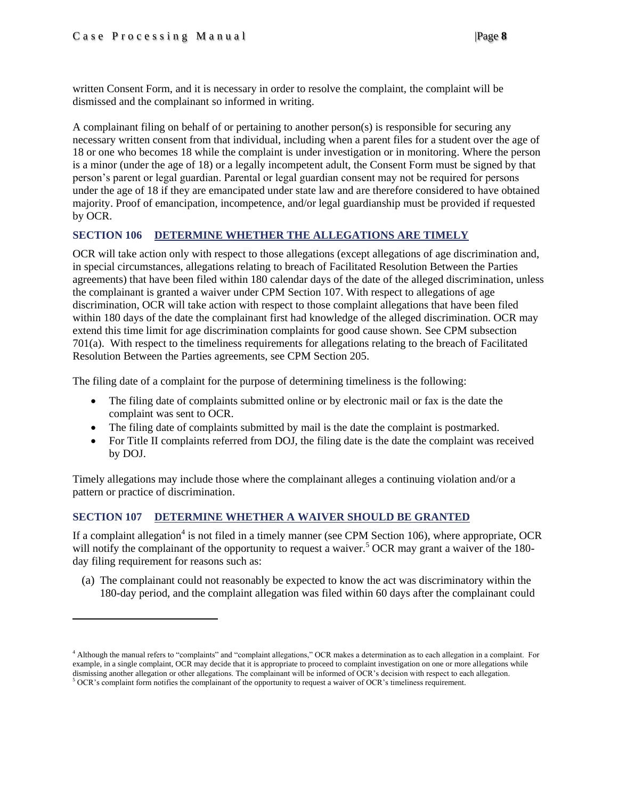$\overline{\phantom{a}}$ 

written Consent Form, and it is necessary in order to resolve the complaint, the complaint will be dismissed and the complainant so informed in writing.

A complainant filing on behalf of or pertaining to another person(s) is responsible for securing any necessary written consent from that individual, including when a parent files for a student over the age of 18 or one who becomes 18 while the complaint is under investigation or in monitoring. Where the person is a minor (under the age of 18) or a legally incompetent adult, the Consent Form must be signed by that person's parent or legal guardian. Parental or legal guardian consent may not be required for persons under the age of 18 if they are emancipated under state law and are therefore considered to have obtained majority. Proof of emancipation, incompetence, and/or legal guardianship must be provided if requested by OCR.

### <span id="page-7-0"></span>**SECTION 106 DETERMINE WHETHER THE ALLEGATIONS ARE TIMELY**

OCR will take action only with respect to those allegations (except allegations of age discrimination and, in special circumstances, allegations relating to breach of Facilitated Resolution Between the Parties agreements) that have been filed within 180 calendar days of the date of the alleged discrimination, unless the complainant is granted a waiver under CPM Section 107. With respect to allegations of age discrimination, OCR will take action with respect to those complaint allegations that have been filed within 180 days of the date the complainant first had knowledge of the alleged discrimination. OCR may extend this time limit for age discrimination complaints for good cause shown. See CPM subsection 701(a). With respect to the timeliness requirements for allegations relating to the breach of Facilitated Resolution Between the Parties agreements, see CPM Section 205.

The filing date of a complaint for the purpose of determining timeliness is the following:

- The filing date of complaints submitted online or by electronic mail or fax is the date the complaint was sent to OCR.
- The filing date of complaints submitted by mail is the date the complaint is postmarked.
- For Title II complaints referred from DOJ, the filing date is the date the complaint was received by DOJ.

Timely allegations may include those where the complainant alleges a continuing violation and/or a pattern or practice of discrimination.

### <span id="page-7-1"></span>**SECTION 107 DETERMINE WHETHER A WAIVER SHOULD BE GRANTED**

If a complaint allegation<sup>4</sup> is not filed in a timely manner (see CPM Section 106), where appropriate, OCR will notify the complainant of the opportunity to request a waiver.<sup>5</sup> OCR may grant a waiver of the 180day filing requirement for reasons such as:

(a) The complainant could not reasonably be expected to know the act was discriminatory within the 180-day period, and the complaint allegation was filed within 60 days after the complainant could

<sup>4</sup> Although the manual refers to "complaints" and "complaint allegations," OCR makes a determination as to each allegation in a complaint. For example, in a single complaint, OCR may decide that it is appropriate to proceed to complaint investigation on one or more allegations while dismissing another allegation or other allegations. The complainant will be informed of OCR's decision with respect to each allegation. <sup>5</sup> OCR's complaint form notifies the complainant of the opportunity to request a waiver of OCR's timeliness requirement.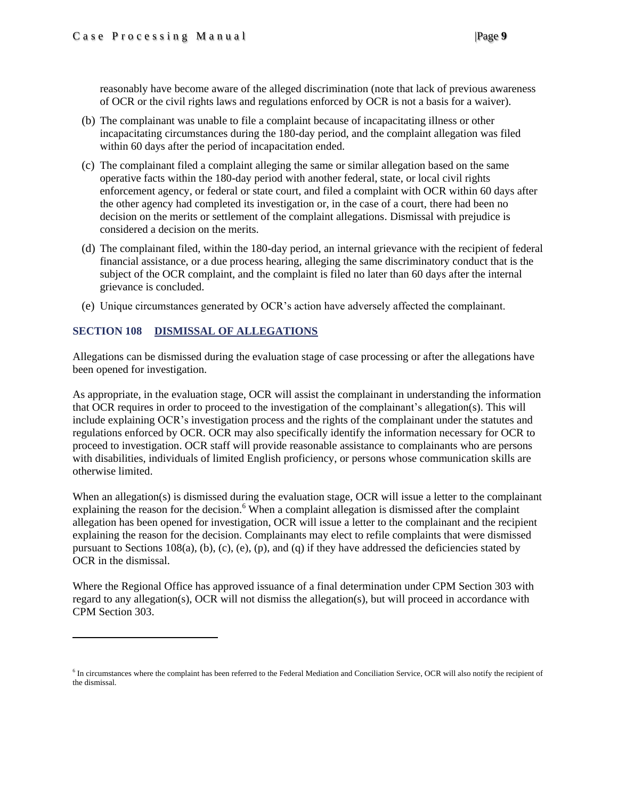reasonably have become aware of the alleged discrimination (note that lack of previous awareness of OCR or the civil rights laws and regulations enforced by OCR is not a basis for a waiver).

- (b) The complainant was unable to file a complaint because of incapacitating illness or other incapacitating circumstances during the 180-day period, and the complaint allegation was filed within 60 days after the period of incapacitation ended.
- (c) The complainant filed a complaint alleging the same or similar allegation based on the same operative facts within the 180-day period with another federal, state, or local civil rights enforcement agency, or federal or state court, and filed a complaint with OCR within 60 days after the other agency had completed its investigation or, in the case of a court, there had been no decision on the merits or settlement of the complaint allegations. Dismissal with prejudice is considered a decision on the merits.
- (d) The complainant filed, within the 180-day period, an internal grievance with the recipient of federal financial assistance, or a due process hearing, alleging the same discriminatory conduct that is the subject of the OCR complaint, and the complaint is filed no later than 60 days after the internal grievance is concluded.
- (e) Unique circumstances generated by OCR's action have adversely affected the complainant.

### <span id="page-8-0"></span>**SECTION 108 DISMISSAL OF ALLEGATIONS**

 $\overline{\phantom{a}}$ 

Allegations can be dismissed during the evaluation stage of case processing or after the allegations have been opened for investigation.

As appropriate, in the evaluation stage, OCR will assist the complainant in understanding the information that OCR requires in order to proceed to the investigation of the complainant's allegation(s). This will include explaining OCR's investigation process and the rights of the complainant under the statutes and regulations enforced by OCR. OCR may also specifically identify the information necessary for OCR to proceed to investigation. OCR staff will provide reasonable assistance to complainants who are persons with disabilities, individuals of limited English proficiency, or persons whose communication skills are otherwise limited.

When an allegation(s) is dismissed during the evaluation stage, OCR will issue a letter to the complainant explaining the reason for the decision.<sup>6</sup> When a complaint allegation is dismissed after the complaint allegation has been opened for investigation, OCR will issue a letter to the complainant and the recipient explaining the reason for the decision. Complainants may elect to refile complaints that were dismissed pursuant to Sections  $108(a)$ , (b), (c), (e), (p), and (q) if they have addressed the deficiencies stated by OCR in the dismissal.

Where the Regional Office has approved issuance of a final determination under CPM Section 303 with regard to any allegation(s), OCR will not dismiss the allegation(s), but will proceed in accordance with CPM Section 303.

<sup>&</sup>lt;sup>6</sup> In circumstances where the complaint has been referred to the Federal Mediation and Conciliation Service, OCR will also notify the recipient of the dismissal.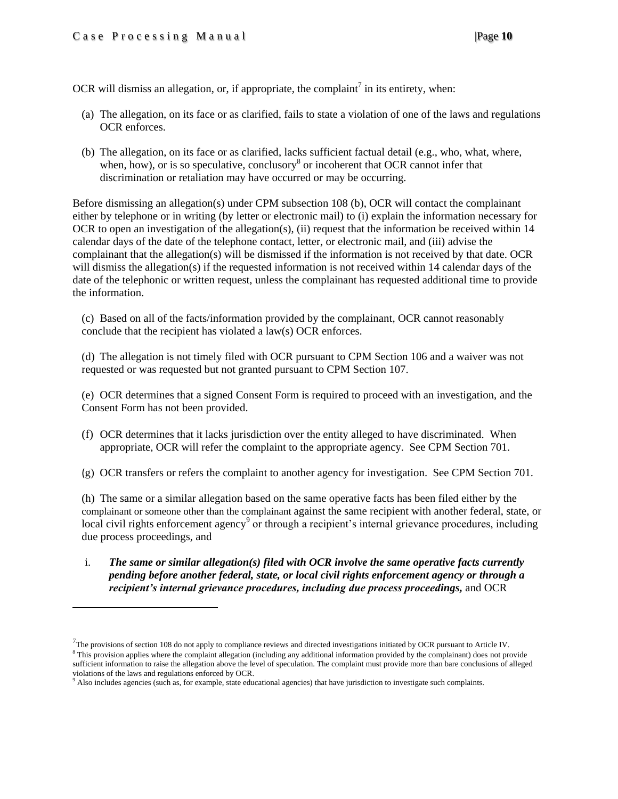$\overline{a}$ 

OCR will dismiss an allegation, or, if appropriate, the complaint<sup>7</sup> in its entirety, when:

- (a) The allegation, on its face or as clarified, fails to state a violation of one of the laws and regulations OCR enforces.
- (b) The allegation, on its face or as clarified, lacks sufficient factual detail (e.g., who, what, where, when, how), or is so speculative, conclusory $\delta$  or incoherent that OCR cannot infer that discrimination or retaliation may have occurred or may be occurring.

Before dismissing an allegation(s) under CPM subsection 108 (b), OCR will contact the complainant either by telephone or in writing (by letter or electronic mail) to (i) explain the information necessary for OCR to open an investigation of the allegation(s), (ii) request that the information be received within 14 calendar days of the date of the telephone contact, letter, or electronic mail, and (iii) advise the complainant that the allegation(s) will be dismissed if the information is not received by that date. OCR will dismiss the allegation(s) if the requested information is not received within 14 calendar days of the date of the telephonic or written request, unless the complainant has requested additional time to provide the information.

(c) Based on all of the facts/information provided by the complainant, OCR cannot reasonably conclude that the recipient has violated a law(s) OCR enforces.

(d) The allegation is not timely filed with OCR pursuant to CPM Section 106 and a waiver was not requested or was requested but not granted pursuant to CPM Section 107.

(e) OCR determines that a signed Consent Form is required to proceed with an investigation, and the Consent Form has not been provided.

(f) OCR determines that it lacks jurisdiction over the entity alleged to have discriminated. When appropriate, OCR will refer the complaint to the appropriate agency. See CPM Section 701.

(g) OCR transfers or refers the complaint to another agency for investigation. See CPM Section 701.

(h) The same or a similar allegation based on the same operative facts has been filed either by the complainant or someone other than the complainant against the same recipient with another federal, state, or local civil rights enforcement agency<sup>9</sup> or through a recipient's internal grievance procedures, including due process proceedings, and

i. *The same or similar allegation(s) filed with OCR involve the same operative facts currently pending before another federal, state, or local civil rights enforcement agency or through a recipient's internal grievance procedures, including due process proceedings,* and OCR

 $^{7}$ The provisions of section 108 do not apply to compliance reviews and directed investigations initiated by OCR pursuant to Article IV.

<sup>&</sup>lt;sup>8</sup> This provision applies where the complaint allegation (including any additional information provided by the complainant) does not provide sufficient information to raise the allegation above the level of speculation. The complaint must provide more than bare conclusions of alleged violations of the laws and regulations enforced by OCR.

<sup>&</sup>lt;sup>9</sup> Also includes agencies (such as, for example, state educational agencies) that have jurisdiction to investigate such complaints.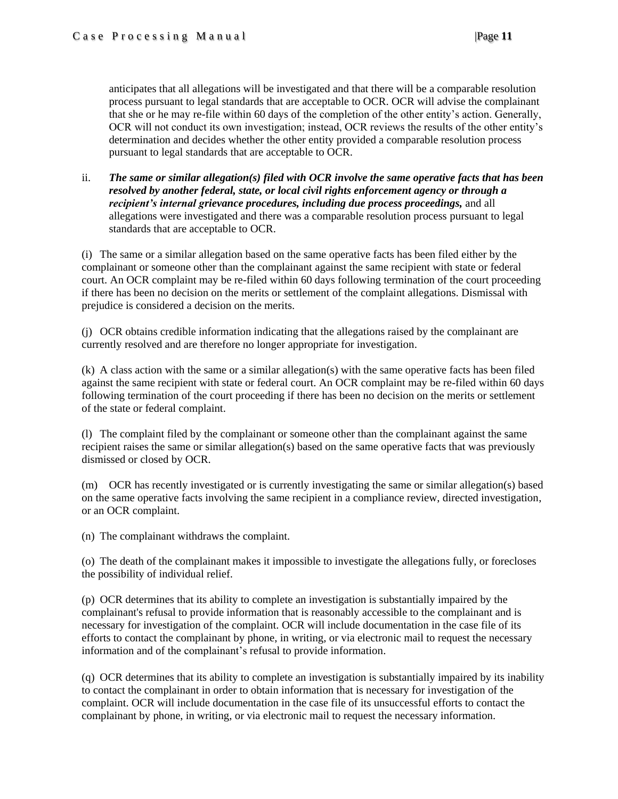anticipates that all allegations will be investigated and that there will be a comparable resolution process pursuant to legal standards that are acceptable to OCR. OCR will advise the complainant that she or he may re-file within 60 days of the completion of the other entity's action. Generally, OCR will not conduct its own investigation; instead, OCR reviews the results of the other entity's determination and decides whether the other entity provided a comparable resolution process pursuant to legal standards that are acceptable to OCR.

ii. *The same or similar allegation(s) filed with OCR involve the same operative facts that has been resolved by another federal, state, or local civil rights enforcement agency or through a recipient's internal grievance procedures, including due process proceedings,* and all allegations were investigated and there was a comparable resolution process pursuant to legal standards that are acceptable to OCR.

(i) The same or a similar allegation based on the same operative facts has been filed either by the complainant or someone other than the complainant against the same recipient with state or federal court. An OCR complaint may be re-filed within 60 days following termination of the court proceeding if there has been no decision on the merits or settlement of the complaint allegations. Dismissal with prejudice is considered a decision on the merits.

(j) OCR obtains credible information indicating that the allegations raised by the complainant are currently resolved and are therefore no longer appropriate for investigation.

(k) A class action with the same or a similar allegation(s) with the same operative facts has been filed against the same recipient with state or federal court. An OCR complaint may be re-filed within 60 days following termination of the court proceeding if there has been no decision on the merits or settlement of the state or federal complaint.

(l) The complaint filed by the complainant or someone other than the complainant against the same recipient raises the same or similar allegation(s) based on the same operative facts that was previously dismissed or closed by OCR.

(m) OCR has recently investigated or is currently investigating the same or similar allegation(s) based on the same operative facts involving the same recipient in a compliance review, directed investigation, or an OCR complaint.

(n) The complainant withdraws the complaint.

(o) The death of the complainant makes it impossible to investigate the allegations fully, or forecloses the possibility of individual relief.

(p) OCR determines that its ability to complete an investigation is substantially impaired by the complainant's refusal to provide information that is reasonably accessible to the complainant and is necessary for investigation of the complaint. OCR will include documentation in the case file of its efforts to contact the complainant by phone, in writing, or via electronic mail to request the necessary information and of the complainant's refusal to provide information.

(q) OCR determines that its ability to complete an investigation is substantially impaired by its inability to contact the complainant in order to obtain information that is necessary for investigation of the complaint. OCR will include documentation in the case file of its unsuccessful efforts to contact the complainant by phone, in writing, or via electronic mail to request the necessary information.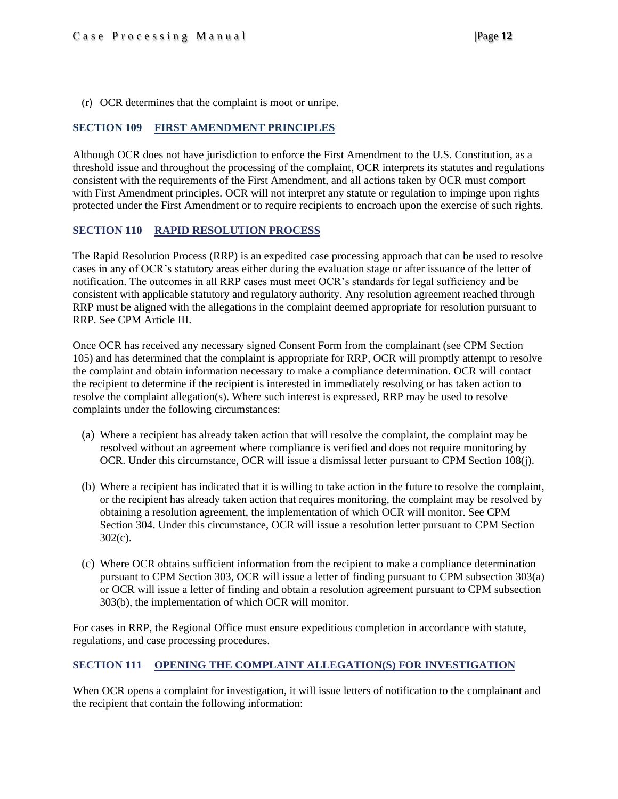(r) OCR determines that the complaint is moot or unripe.

### <span id="page-11-0"></span>**SECTION 109 FIRST AMENDMENT PRINCIPLES**

Although OCR does not have jurisdiction to enforce the First Amendment to the U.S. Constitution, as a threshold issue and throughout the processing of the complaint, OCR interprets its statutes and regulations consistent with the requirements of the First Amendment, and all actions taken by OCR must comport with First Amendment principles. OCR will not interpret any statute or regulation to impinge upon rights protected under the First Amendment or to require recipients to encroach upon the exercise of such rights.

### <span id="page-11-1"></span>**SECTION 110 RAPID RESOLUTION PROCESS**

The Rapid Resolution Process (RRP) is an expedited case processing approach that can be used to resolve cases in any of OCR's statutory areas either during the evaluation stage or after issuance of the letter of notification. The outcomes in all RRP cases must meet OCR's standards for legal sufficiency and be consistent with applicable statutory and regulatory authority. Any resolution agreement reached through RRP must be aligned with the allegations in the complaint deemed appropriate for resolution pursuant to RRP. See CPM Article III.

Once OCR has received any necessary signed Consent Form from the complainant (see CPM Section 105) and has determined that the complaint is appropriate for RRP, OCR will promptly attempt to resolve the complaint and obtain information necessary to make a compliance determination. OCR will contact the recipient to determine if the recipient is interested in immediately resolving or has taken action to resolve the complaint allegation(s). Where such interest is expressed, RRP may be used to resolve complaints under the following circumstances:

- (a) Where a recipient has already taken action that will resolve the complaint, the complaint may be resolved without an agreement where compliance is verified and does not require monitoring by OCR. Under this circumstance, OCR will issue a dismissal letter pursuant to CPM Section 108(j).
- (b) Where a recipient has indicated that it is willing to take action in the future to resolve the complaint, or the recipient has already taken action that requires monitoring, the complaint may be resolved by obtaining a resolution agreement, the implementation of which OCR will monitor. See CPM Section 304. Under this circumstance, OCR will issue a resolution letter pursuant to CPM Section 302(c).
- (c) Where OCR obtains sufficient information from the recipient to make a compliance determination pursuant to CPM Section 303, OCR will issue a letter of finding pursuant to CPM subsection 303(a) or OCR will issue a letter of finding and obtain a resolution agreement pursuant to CPM subsection 303(b), the implementation of which OCR will monitor.

For cases in RRP, the Regional Office must ensure expeditious completion in accordance with statute, regulations, and case processing procedures.

### <span id="page-11-2"></span>**SECTION 111 OPENING THE COMPLAINT ALLEGATION(S) FOR INVESTIGATION**

When OCR opens a complaint for investigation, it will issue letters of notification to the complainant and the recipient that contain the following information: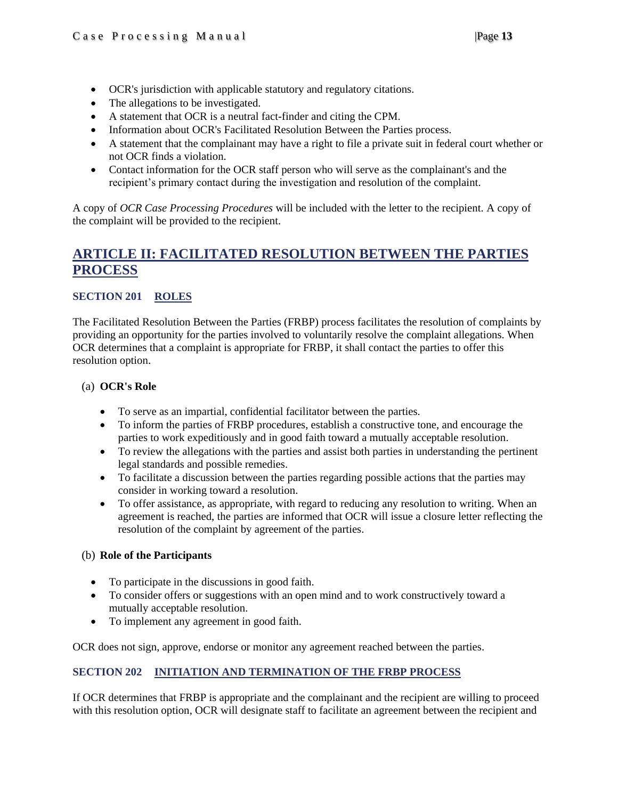- OCR's jurisdiction with applicable statutory and regulatory citations.
- The allegations to be investigated.
- A statement that OCR is a neutral fact-finder and citing the CPM.
- Information about OCR's Facilitated Resolution Between the Parties process.
- A statement that the complainant may have a right to file a private suit in federal court whether or not OCR finds a violation.
- Contact information for the OCR staff person who will serve as the complainant's and the recipient's primary contact during the investigation and resolution of the complaint.

A copy of *OCR Case Processing Procedures* will be included with the letter to the recipient. A copy of the complaint will be provided to the recipient.

### <span id="page-12-0"></span>**ARTICLE II: FACILITATED RESOLUTION BETWEEN THE PARTIES PROCESS**

### <span id="page-12-1"></span>**SECTION 201 ROLES**

The Facilitated Resolution Between the Parties (FRBP) process facilitates the resolution of complaints by providing an opportunity for the parties involved to voluntarily resolve the complaint allegations. When OCR determines that a complaint is appropriate for FRBP, it shall contact the parties to offer this resolution option.

### (a) **OCR's Role**

- To serve as an impartial, confidential facilitator between the parties.
- To inform the parties of FRBP procedures, establish a constructive tone, and encourage the parties to work expeditiously and in good faith toward a mutually acceptable resolution.
- To review the allegations with the parties and assist both parties in understanding the pertinent legal standards and possible remedies.
- To facilitate a discussion between the parties regarding possible actions that the parties may consider in working toward a resolution.
- To offer assistance, as appropriate, with regard to reducing any resolution to writing. When an agreement is reached, the parties are informed that OCR will issue a closure letter reflecting the resolution of the complaint by agreement of the parties.

### (b) **Role of the Participants**

- To participate in the discussions in good faith.
- To consider offers or suggestions with an open mind and to work constructively toward a mutually acceptable resolution.
- To implement any agreement in good faith.

<span id="page-12-2"></span>OCR does not sign, approve, endorse or monitor any agreement reached between the parties.

### **SECTION 202 INITIATION AND TERMINATION OF THE FRBP PROCESS**

If OCR determines that FRBP is appropriate and the complainant and the recipient are willing to proceed with this resolution option, OCR will designate staff to facilitate an agreement between the recipient and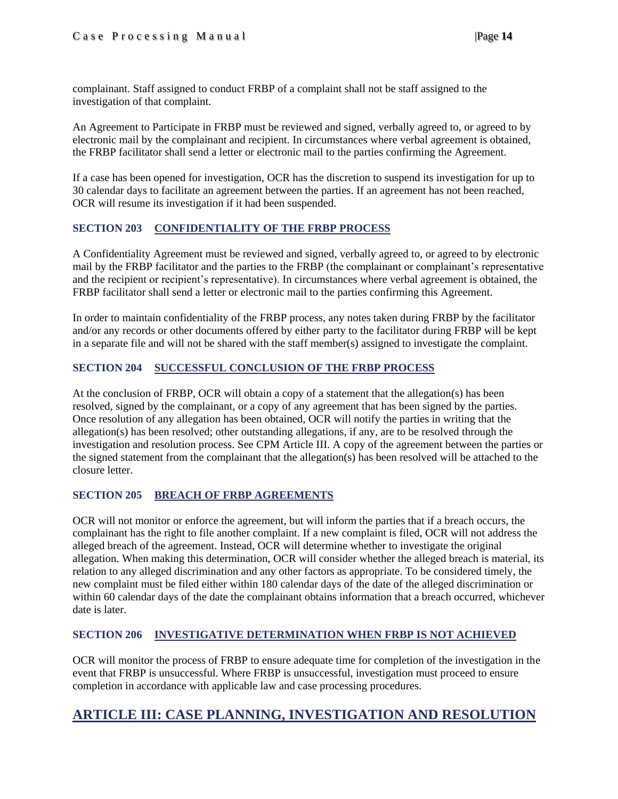complainant. Staff assigned to conduct FRBP of a complaint shall not be staff assigned to the investigation of that complaint.

An Agreement to Participate in FRBP must be reviewed and signed, verbally agreed to, or agreed to by electronic mail by the complainant and recipient. In circumstances where verbal agreement is obtained, the FRBP facilitator shall send a letter or electronic mail to the parties confirming the Agreement.

If a case has been opened for investigation, OCR has the discretion to suspend its investigation for up to 30 calendar days to facilitate an agreement between the parties. If an agreement has not been reached, OCR will resume its investigation if it had been suspended.

### <span id="page-13-0"></span>**SECTION 203 CONFIDENTIALITY OF THE FRBP PROCESS**

A Confidentiality Agreement must be reviewed and signed, verbally agreed to, or agreed to by electronic mail by the FRBP facilitator and the parties to the FRBP (the complainant or complainant's representative and the recipient or recipient's representative). In circumstances where verbal agreement is obtained, the FRBP facilitator shall send a letter or electronic mail to the parties confirming this Agreement.

In order to maintain confidentiality of the FRBP process, any notes taken during FRBP by the facilitator and/or any records or other documents offered by either party to the facilitator during FRBP will be kept in a separate file and will not be shared with the staff member(s) assigned to investigate the complaint.

### <span id="page-13-1"></span>**SECTION 204 SUCCESSFUL CONCLUSION OF THE FRBP PROCESS**

At the conclusion of FRBP, OCR will obtain a copy of a statement that the allegation(s) has been resolved, signed by the complainant, or a copy of any agreement that has been signed by the parties. Once resolution of any allegation has been obtained, OCR will notify the parties in writing that the allegation(s) has been resolved; other outstanding allegations, if any, are to be resolved through the investigation and resolution process. See CPM Article III. A copy of the agreement between the parties or the signed statement from the complainant that the allegation(s) has been resolved will be attached to the closure letter.

### <span id="page-13-2"></span>**SECTION 205 BREACH OF FRBP AGREEMENTS**

OCR will not monitor or enforce the agreement, but will inform the parties that if a breach occurs, the complainant has the right to file another complaint. If a new complaint is filed, OCR will not address the alleged breach of the agreement. Instead, OCR will determine whether to investigate the original allegation. When making this determination, OCR will consider whether the alleged breach is material, its relation to any alleged discrimination and any other factors as appropriate. To be considered timely, the new complaint must be filed either within 180 calendar days of the date of the alleged discrimination or within 60 calendar days of the date the complainant obtains information that a breach occurred, whichever date is later.

### <span id="page-13-3"></span>**SECTION 206 INVESTIGATIVE DETERMINATION WHEN FRBP IS NOT ACHIEVED**

OCR will monitor the process of FRBP to ensure adequate time for completion of the investigation in the event that FRBP is unsuccessful. Where FRBP is unsuccessful, investigation must proceed to ensure completion in accordance with applicable law and case processing procedures.

### <span id="page-13-4"></span>**ARTICLE III: CASE PLANNING, INVESTIGATION AND RESOLUTION**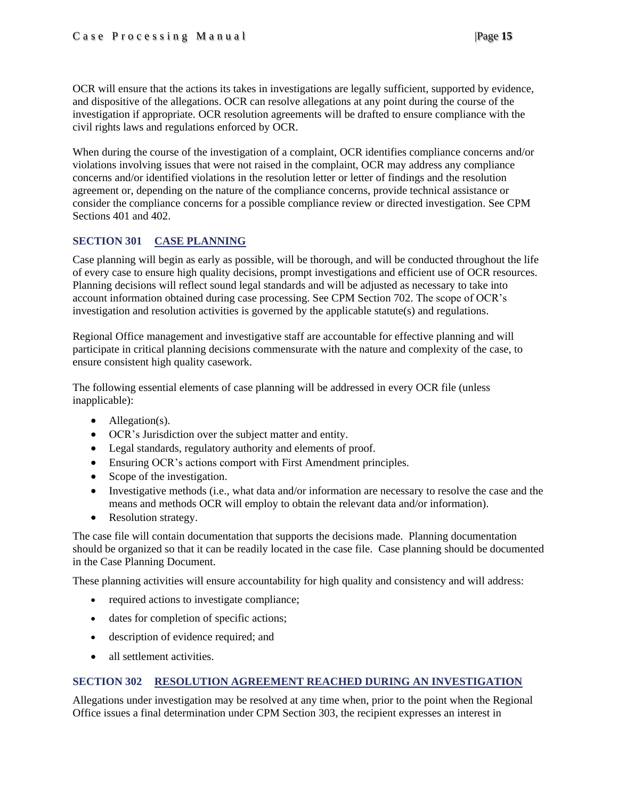OCR will ensure that the actions its takes in investigations are legally sufficient, supported by evidence, and dispositive of the allegations. OCR can resolve allegations at any point during the course of the investigation if appropriate. OCR resolution agreements will be drafted to ensure compliance with the civil rights laws and regulations enforced by OCR.

When during the course of the investigation of a complaint, OCR identifies compliance concerns and/or violations involving issues that were not raised in the complaint, OCR may address any compliance concerns and/or identified violations in the resolution letter or letter of findings and the resolution agreement or, depending on the nature of the compliance concerns, provide technical assistance or consider the compliance concerns for a possible compliance review or directed investigation. See CPM Sections 401 and 402.

### <span id="page-14-0"></span>**SECTION 301 CASE PLANNING**

Case planning will begin as early as possible, will be thorough, and will be conducted throughout the life of every case to ensure high quality decisions, prompt investigations and efficient use of OCR resources. Planning decisions will reflect sound legal standards and will be adjusted as necessary to take into account information obtained during case processing. See CPM Section 702. The scope of OCR's investigation and resolution activities is governed by the applicable statute(s) and regulations.

Regional Office management and investigative staff are accountable for effective planning and will participate in critical planning decisions commensurate with the nature and complexity of the case, to ensure consistent high quality casework.

The following essential elements of case planning will be addressed in every OCR file (unless inapplicable):

- Allegation(s).
- OCR's Jurisdiction over the subject matter and entity.
- Legal standards, regulatory authority and elements of proof.
- Ensuring OCR's actions comport with First Amendment principles.
- Scope of the investigation.
- Investigative methods (i.e., what data and/or information are necessary to resolve the case and the means and methods OCR will employ to obtain the relevant data and/or information).
- Resolution strategy.

The case file will contain documentation that supports the decisions made. Planning documentation should be organized so that it can be readily located in the case file. Case planning should be documented in the Case Planning Document.

These planning activities will ensure accountability for high quality and consistency and will address:

- required actions to investigate compliance;
- dates for completion of specific actions;
- description of evidence required; and
- all settlement activities.

### <span id="page-14-1"></span>**SECTION 302 RESOLUTION AGREEMENT REACHED DURING AN INVESTIGATION**

Allegations under investigation may be resolved at any time when, prior to the point when the Regional Office issues a final determination under CPM Section 303, the recipient expresses an interest in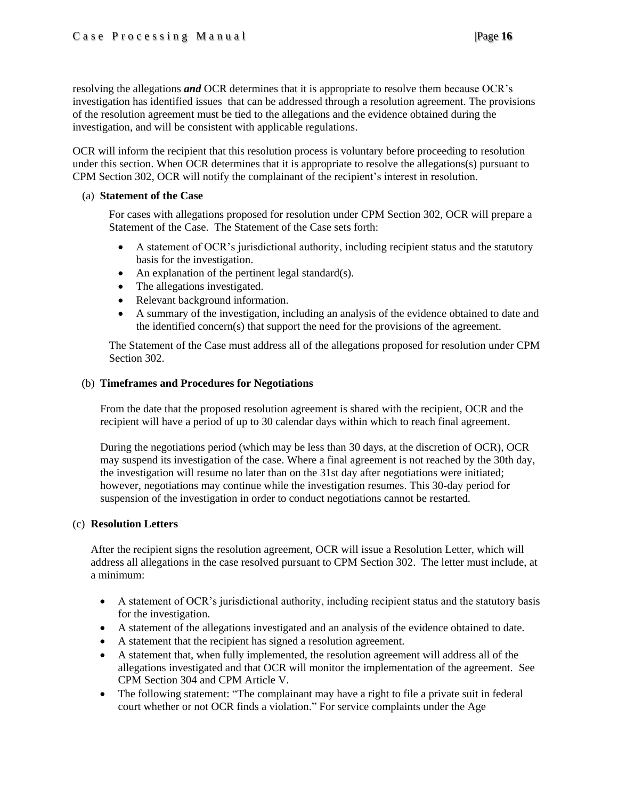resolving the allegations *and* OCR determines that it is appropriate to resolve them because OCR's investigation has identified issues that can be addressed through a resolution agreement. The provisions of the resolution agreement must be tied to the allegations and the evidence obtained during the investigation, and will be consistent with applicable regulations.

OCR will inform the recipient that this resolution process is voluntary before proceeding to resolution under this section. When OCR determines that it is appropriate to resolve the allegations(s) pursuant to CPM Section 302, OCR will notify the complainant of the recipient's interest in resolution.

### (a) **Statement of the Case**

For cases with allegations proposed for resolution under CPM Section 302, OCR will prepare a Statement of the Case. The Statement of the Case sets forth:

- A statement of OCR's jurisdictional authority, including recipient status and the statutory basis for the investigation.
- An explanation of the pertinent legal standard(s).
- The allegations investigated.
- Relevant background information.
- A summary of the investigation, including an analysis of the evidence obtained to date and the identified concern(s) that support the need for the provisions of the agreement.

The Statement of the Case must address all of the allegations proposed for resolution under CPM Section 302.

### (b) **Timeframes and Procedures for Negotiations**

From the date that the proposed resolution agreement is shared with the recipient, OCR and the recipient will have a period of up to 30 calendar days within which to reach final agreement.

During the negotiations period (which may be less than 30 days, at the discretion of OCR), OCR may suspend its investigation of the case. Where a final agreement is not reached by the 30th day, the investigation will resume no later than on the 31st day after negotiations were initiated; however, negotiations may continue while the investigation resumes. This 30-day period for suspension of the investigation in order to conduct negotiations cannot be restarted.

### (c) **Resolution Letters**

After the recipient signs the resolution agreement, OCR will issue a Resolution Letter, which will address all allegations in the case resolved pursuant to CPM Section 302. The letter must include, at a minimum:

- A statement of OCR's jurisdictional authority, including recipient status and the statutory basis for the investigation.
- A statement of the allegations investigated and an analysis of the evidence obtained to date.
- A statement that the recipient has signed a resolution agreement.
- A statement that, when fully implemented, the resolution agreement will address all of the allegations investigated and that OCR will monitor the implementation of the agreement. See CPM Section 304 and CPM Article V.
- The following statement: "The complainant may have a right to file a private suit in federal court whether or not OCR finds a violation." For service complaints under the Age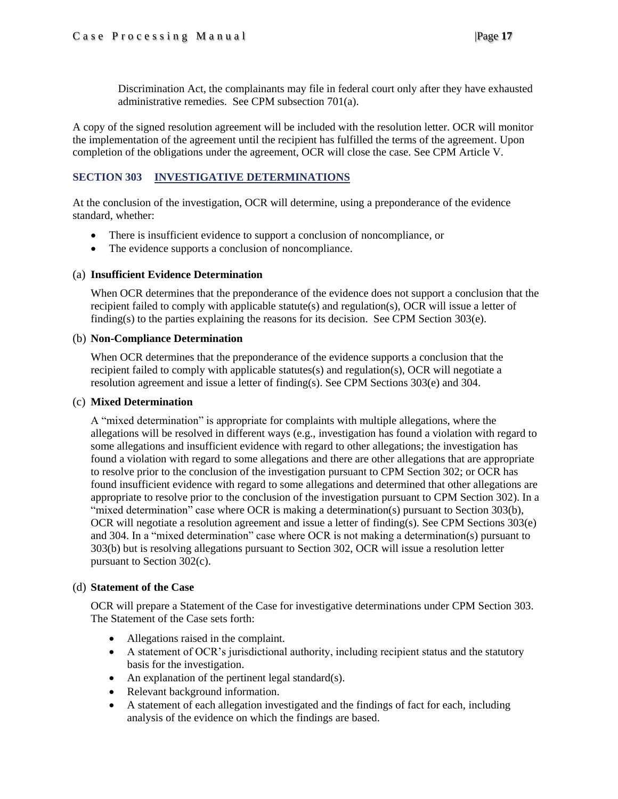Discrimination Act, the complainants may file in federal court only after they have exhausted administrative remedies. See CPM subsection 701(a).

A copy of the signed resolution agreement will be included with the resolution letter. OCR will monitor the implementation of the agreement until the recipient has fulfilled the terms of the agreement. Upon completion of the obligations under the agreement, OCR will close the case. See CPM Article V.

### <span id="page-16-0"></span>**SECTION 303 INVESTIGATIVE DETERMINATIONS**

At the conclusion of the investigation, OCR will determine, using a preponderance of the evidence standard, whether:

- There is insufficient evidence to support a conclusion of noncompliance, or
- The evidence supports a conclusion of noncompliance.

### (a) **Insufficient Evidence Determination**

When OCR determines that the preponderance of the evidence does not support a conclusion that the recipient failed to comply with applicable statute(s) and regulation(s), OCR will issue a letter of finding(s) to the parties explaining the reasons for its decision. See CPM Section  $303(e)$ .

### (b) **Non-Compliance Determination**

When OCR determines that the preponderance of the evidence supports a conclusion that the recipient failed to comply with applicable statutes(s) and regulation(s), OCR will negotiate a resolution agreement and issue a letter of finding(s). See CPM Sections 303(e) and 304.

#### (c) **Mixed Determination**

A "mixed determination" is appropriate for complaints with multiple allegations, where the allegations will be resolved in different ways (e.g., investigation has found a violation with regard to some allegations and insufficient evidence with regard to other allegations; the investigation has found a violation with regard to some allegations and there are other allegations that are appropriate to resolve prior to the conclusion of the investigation pursuant to CPM Section 302; or OCR has found insufficient evidence with regard to some allegations and determined that other allegations are appropriate to resolve prior to the conclusion of the investigation pursuant to CPM Section 302). In a "mixed determination" case where OCR is making a determination(s) pursuant to Section 303(b), OCR will negotiate a resolution agreement and issue a letter of finding(s). See CPM Sections 303(e) and 304. In a "mixed determination" case where OCR is not making a determination(s) pursuant to 303(b) but is resolving allegations pursuant to Section 302, OCR will issue a resolution letter pursuant to Section 302(c).

### (d) **Statement of the Case**

OCR will prepare a Statement of the Case for investigative determinations under CPM Section 303. The Statement of the Case sets forth:

- Allegations raised in the complaint.
- A statement of OCR's jurisdictional authority, including recipient status and the statutory basis for the investigation.
- An explanation of the pertinent legal standard $(s)$ .
- Relevant background information.
- A statement of each allegation investigated and the findings of fact for each, including analysis of the evidence on which the findings are based.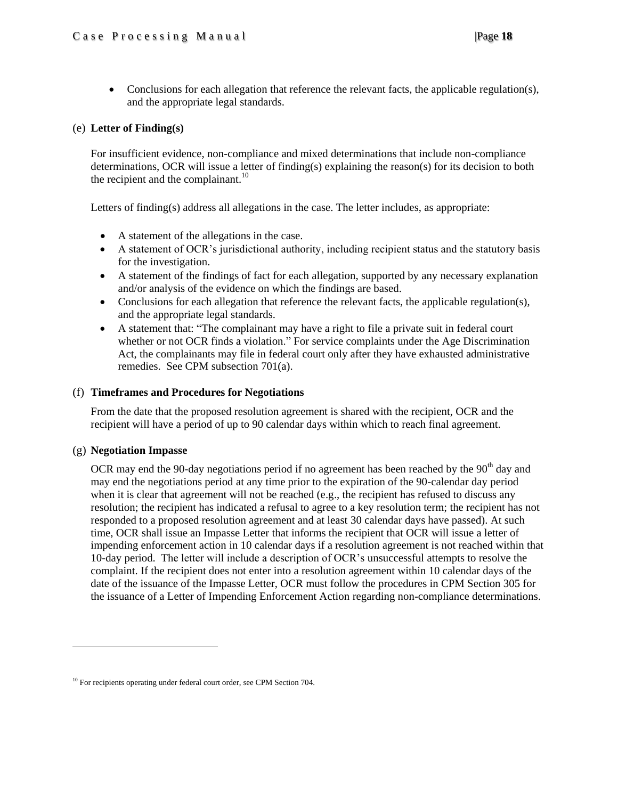• Conclusions for each allegation that reference the relevant facts, the applicable regulation(s), and the appropriate legal standards.

### (e) **Letter of Finding(s)**

For insufficient evidence, non-compliance and mixed determinations that include non-compliance determinations, OCR will issue a letter of finding(s) explaining the reason(s) for its decision to both the recipient and the complainant. $10$ 

Letters of finding(s) address all allegations in the case. The letter includes, as appropriate:

- A statement of the allegations in the case.
- A statement of OCR's jurisdictional authority, including recipient status and the statutory basis for the investigation.
- A statement of the findings of fact for each allegation, supported by any necessary explanation and/or analysis of the evidence on which the findings are based.
- Conclusions for each allegation that reference the relevant facts, the applicable regulation(s), and the appropriate legal standards.
- A statement that: "The complainant may have a right to file a private suit in federal court whether or not OCR finds a violation." For service complaints under the Age Discrimination Act, the complainants may file in federal court only after they have exhausted administrative remedies. See CPM subsection 701(a).

### (f) **Timeframes and Procedures for Negotiations**

From the date that the proposed resolution agreement is shared with the recipient, OCR and the recipient will have a period of up to 90 calendar days within which to reach final agreement.

#### (g) **Negotiation Impasse**

 $\overline{\phantom{a}}$ 

OCR may end the 90-day negotiations period if no agreement has been reached by the  $90<sup>th</sup>$  day and may end the negotiations period at any time prior to the expiration of the 90-calendar day period when it is clear that agreement will not be reached (e.g., the recipient has refused to discuss any resolution; the recipient has indicated a refusal to agree to a key resolution term; the recipient has not responded to a proposed resolution agreement and at least 30 calendar days have passed). At such time, OCR shall issue an Impasse Letter that informs the recipient that OCR will issue a letter of impending enforcement action in 10 calendar days if a resolution agreement is not reached within that 10-day period. The letter will include a description of OCR's unsuccessful attempts to resolve the complaint. If the recipient does not enter into a resolution agreement within 10 calendar days of the date of the issuance of the Impasse Letter, OCR must follow the procedures in CPM Section 305 for the issuance of a Letter of Impending Enforcement Action regarding non-compliance determinations.

<sup>&</sup>lt;sup>10</sup> For recipients operating under federal court order, see CPM Section 704.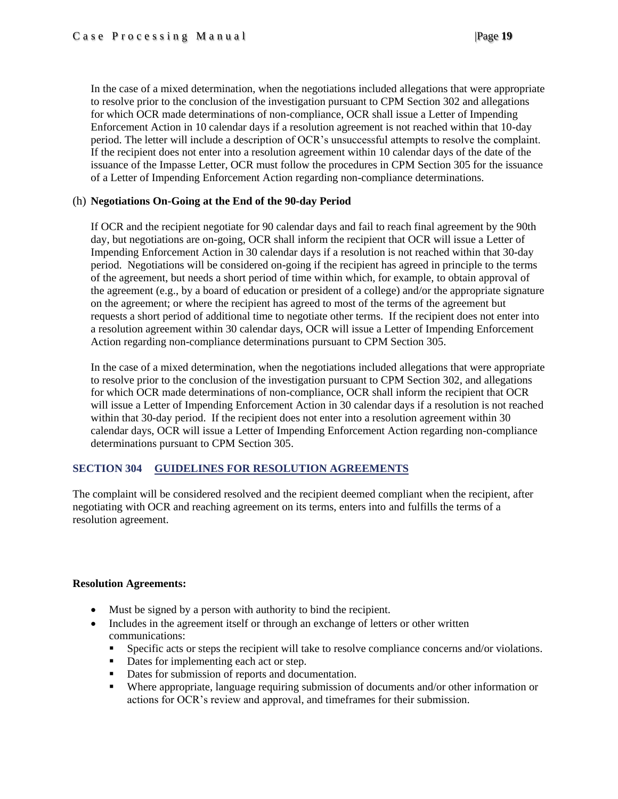In the case of a mixed determination, when the negotiations included allegations that were appropriate to resolve prior to the conclusion of the investigation pursuant to CPM Section 302 and allegations for which OCR made determinations of non-compliance, OCR shall issue a Letter of Impending Enforcement Action in 10 calendar days if a resolution agreement is not reached within that 10-day period. The letter will include a description of OCR's unsuccessful attempts to resolve the complaint. If the recipient does not enter into a resolution agreement within 10 calendar days of the date of the issuance of the Impasse Letter, OCR must follow the procedures in CPM Section 305 for the issuance of a Letter of Impending Enforcement Action regarding non-compliance determinations.

### (h) **Negotiations On-Going at the End of the 90-day Period**

If OCR and the recipient negotiate for 90 calendar days and fail to reach final agreement by the 90th day, but negotiations are on-going, OCR shall inform the recipient that OCR will issue a Letter of Impending Enforcement Action in 30 calendar days if a resolution is not reached within that 30-day period. Negotiations will be considered on-going if the recipient has agreed in principle to the terms of the agreement, but needs a short period of time within which, for example, to obtain approval of the agreement (e.g., by a board of education or president of a college) and/or the appropriate signature on the agreement; or where the recipient has agreed to most of the terms of the agreement but requests a short period of additional time to negotiate other terms. If the recipient does not enter into a resolution agreement within 30 calendar days, OCR will issue a Letter of Impending Enforcement Action regarding non-compliance determinations pursuant to CPM Section 305.

In the case of a mixed determination, when the negotiations included allegations that were appropriate to resolve prior to the conclusion of the investigation pursuant to CPM Section 302, and allegations for which OCR made determinations of non-compliance, OCR shall inform the recipient that OCR will issue a Letter of Impending Enforcement Action in 30 calendar days if a resolution is not reached within that 30-day period. If the recipient does not enter into a resolution agreement within 30 calendar days, OCR will issue a Letter of Impending Enforcement Action regarding non-compliance determinations pursuant to CPM Section 305.

### <span id="page-18-0"></span>**SECTION 304 GUIDELINES FOR RESOLUTION AGREEMENTS**

The complaint will be considered resolved and the recipient deemed compliant when the recipient, after negotiating with OCR and reaching agreement on its terms, enters into and fulfills the terms of a resolution agreement.

### **Resolution Agreements:**

- Must be signed by a person with authority to bind the recipient.
- Includes in the agreement itself or through an exchange of letters or other written communications:
	- Specific acts or steps the recipient will take to resolve compliance concerns and/or violations.
	- Dates for implementing each act or step.
	- Dates for submission of reports and documentation.
	- Where appropriate, language requiring submission of documents and/or other information or actions for OCR's review and approval, and timeframes for their submission.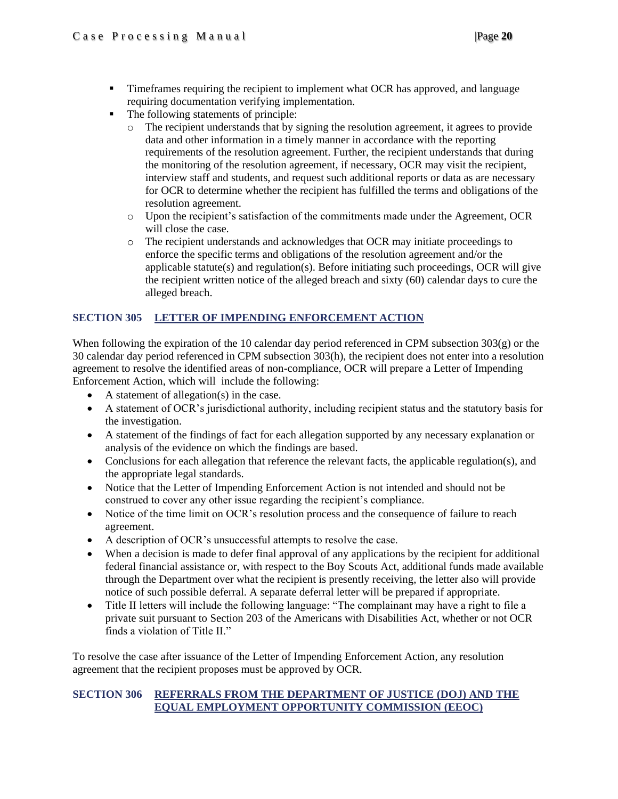- **Timeframes requiring the recipient to implement what OCR has approved, and language** requiring documentation verifying implementation.
- The following statements of principle:
	- o The recipient understands that by signing the resolution agreement, it agrees to provide data and other information in a timely manner in accordance with the reporting requirements of the resolution agreement. Further, the recipient understands that during the monitoring of the resolution agreement, if necessary, OCR may visit the recipient, interview staff and students, and request such additional reports or data as are necessary for OCR to determine whether the recipient has fulfilled the terms and obligations of the resolution agreement.
	- o Upon the recipient's satisfaction of the commitments made under the Agreement, OCR will close the case.
	- o The recipient understands and acknowledges that OCR may initiate proceedings to enforce the specific terms and obligations of the resolution agreement and/or the applicable statute(s) and regulation(s). Before initiating such proceedings, OCR will give the recipient written notice of the alleged breach and sixty (60) calendar days to cure the alleged breach.

### <span id="page-19-0"></span>**SECTION 305 LETTER OF IMPENDING ENFORCEMENT ACTION**

When following the expiration of the 10 calendar day period referenced in CPM subsection 303(g) or the 30 calendar day period referenced in CPM subsection 303(h), the recipient does not enter into a resolution agreement to resolve the identified areas of non-compliance, OCR will prepare a Letter of Impending Enforcement Action, which will include the following:

- A statement of allegation(s) in the case.
- A statement of OCR's jurisdictional authority, including recipient status and the statutory basis for the investigation.
- A statement of the findings of fact for each allegation supported by any necessary explanation or analysis of the evidence on which the findings are based.
- Conclusions for each allegation that reference the relevant facts, the applicable regulation(s), and the appropriate legal standards.
- Notice that the Letter of Impending Enforcement Action is not intended and should not be construed to cover any other issue regarding the recipient's compliance.
- Notice of the time limit on OCR's resolution process and the consequence of failure to reach agreement.
- A description of OCR's unsuccessful attempts to resolve the case.
- When a decision is made to defer final approval of any applications by the recipient for additional federal financial assistance or, with respect to the Boy Scouts Act, additional funds made available through the Department over what the recipient is presently receiving, the letter also will provide notice of such possible deferral. A separate deferral letter will be prepared if appropriate.
- Title II letters will include the following language: "The complainant may have a right to file a private suit pursuant to Section 203 of the Americans with Disabilities Act, whether or not OCR finds a violation of Title II."

To resolve the case after issuance of the Letter of Impending Enforcement Action, any resolution agreement that the recipient proposes must be approved by OCR.

### <span id="page-19-1"></span>**SECTION 306 REFERRALS FROM THE DEPARTMENT OF JUSTICE (DOJ) AND THE EQUAL EMPLOYMENT OPPORTUNITY COMMISSION (EEOC)**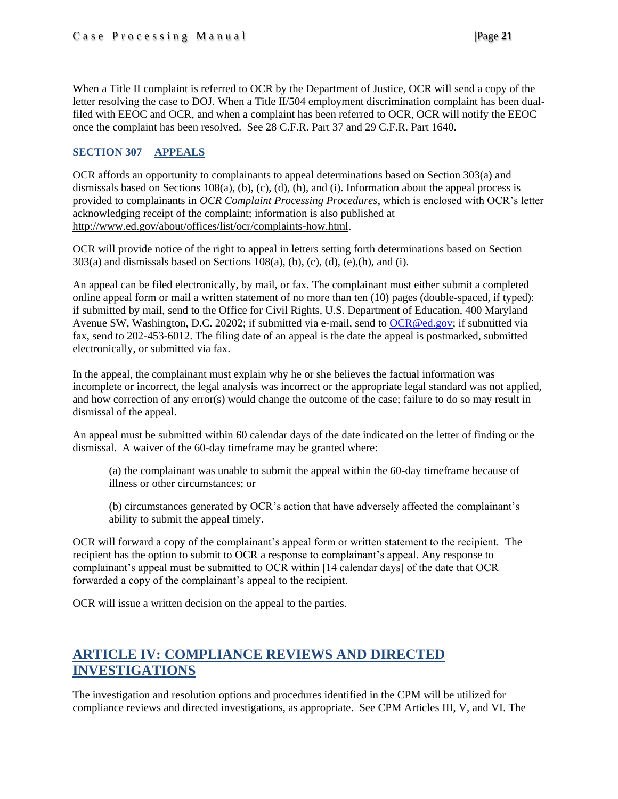When a Title II complaint is referred to OCR by the Department of Justice, OCR will send a copy of the letter resolving the case to DOJ. When a Title II/504 employment discrimination complaint has been dualfiled with EEOC and OCR, and when a complaint has been referred to OCR, OCR will notify the EEOC once the complaint has been resolved. See 28 C.F.R. Part 37 and 29 C.F.R. Part 1640.

### **SECTION 307 APPEALS**

OCR affords an opportunity to complainants to appeal determinations based on Section 303(a) and dismissals based on Sections 108(a), (b), (c), (d), (h), and (i). Information about the appeal process is provided to complainants in *OCR Complaint Processing Procedures*, which is enclosed with OCR's letter acknowledging receipt of the complaint; information is also published at [http://www.ed.gov/about/offices/list/ocr/complaints-how.html.](http://www.ed.gov/about/offices/list/ocr/complaints-how.html)

OCR will provide notice of the right to appeal in letters setting forth determinations based on Section  $303(a)$  and dismissals based on Sections 108(a), (b), (c), (d), (e),(h), and (i).

An appeal can be filed electronically, by mail, or fax. The complainant must either submit a completed online appeal form or mail a written statement of no more than ten (10) pages (double-spaced, if typed): if submitted by mail, send to the Office for Civil Rights, U.S. Department of Education, 400 Maryland Avenue SW, Washington, D.C. 20202; if submitted via e-mail, send to [OCR@ed.gov;](mailto:OCR@ed.gov) if submitted via fax, send to 202-453-6012. The filing date of an appeal is the date the appeal is postmarked, submitted electronically, or submitted via fax.

In the appeal, the complainant must explain why he or she believes the factual information was incomplete or incorrect, the legal analysis was incorrect or the appropriate legal standard was not applied, and how correction of any error(s) would change the outcome of the case; failure to do so may result in dismissal of the appeal.

An appeal must be submitted within 60 calendar days of the date indicated on the letter of finding or the dismissal. A waiver of the 60-day timeframe may be granted where:

(a) the complainant was unable to submit the appeal within the 60-day timeframe because of illness or other circumstances; or

(b) circumstances generated by OCR's action that have adversely affected the complainant's ability to submit the appeal timely.

OCR will forward a copy of the complainant's appeal form or written statement to the recipient. The recipient has the option to submit to OCR a response to complainant's appeal. Any response to complainant's appeal must be submitted to OCR within [14 calendar days] of the date that OCR forwarded a copy of the complainant's appeal to the recipient.

OCR will issue a written decision on the appeal to the parties.

### **ARTICLE IV: COMPLIANCE REVIEWS AND DIRECTED INVESTIGATIONS**

The investigation and resolution options and procedures identified in the CPM will be utilized for compliance reviews and directed investigations, as appropriate. See CPM Articles III, V, and VI. The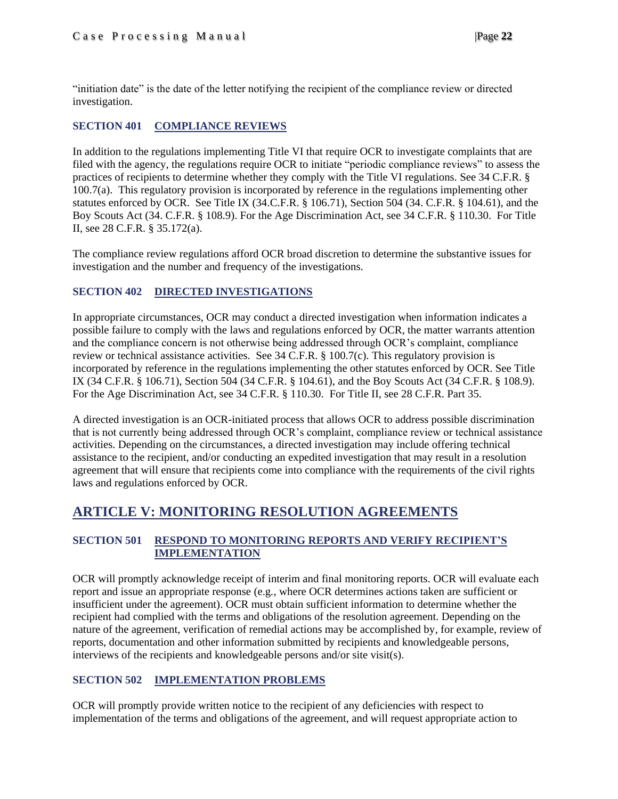"initiation date" is the date of the letter notifying the recipient of the compliance review or directed investigation.

### <span id="page-21-0"></span>**SECTION 401 COMPLIANCE REVIEWS**

In addition to the regulations implementing Title VI that require OCR to investigate complaints that are filed with the agency, the regulations require OCR to initiate "periodic compliance reviews" to assess the practices of recipients to determine whether they comply with the Title VI regulations. See 34 C.F.R. § 100.7(a). This regulatory provision is incorporated by reference in the regulations implementing other statutes enforced by OCR. See Title IX (34.C.F.R. § 106.71), Section 504 (34. C.F.R. § 104.61), and the Boy Scouts Act (34. C.F.R. § 108.9). For the Age Discrimination Act, see 34 C.F.R. § 110.30. For Title II, see 28 C.F.R. § 35.172(a).

The compliance review regulations afford OCR broad discretion to determine the substantive issues for investigation and the number and frequency of the investigations.

### <span id="page-21-1"></span>**SECTION 402 DIRECTED INVESTIGATIONS**

In appropriate circumstances, OCR may conduct a directed investigation when information indicates a possible failure to comply with the laws and regulations enforced by OCR, the matter warrants attention and the compliance concern is not otherwise being addressed through OCR's complaint, compliance review or technical assistance activities. See 34 C.F.R. § 100.7(c). This regulatory provision is incorporated by reference in the regulations implementing the other statutes enforced by OCR. See Title IX (34 C.F.R. § 106.71), Section 504 (34 C.F.R. § 104.61), and the Boy Scouts Act (34 C.F.R. § 108.9). For the Age Discrimination Act, see 34 C.F.R. § 110.30. For Title II, see 28 C.F.R. Part 35.

A directed investigation is an OCR-initiated process that allows OCR to address possible discrimination that is not currently being addressed through OCR's complaint, compliance review or technical assistance activities. Depending on the circumstances, a directed investigation may include offering technical assistance to the recipient, and/or conducting an expedited investigation that may result in a resolution agreement that will ensure that recipients come into compliance with the requirements of the civil rights laws and regulations enforced by OCR.

### <span id="page-21-2"></span>**ARTICLE V: MONITORING RESOLUTION AGREEMENTS**

### <span id="page-21-3"></span>**SECTION 501 RESPOND TO MONITORING REPORTS AND VERIFY RECIPIENT'S IMPLEMENTATION**

OCR will promptly acknowledge receipt of interim and final monitoring reports. OCR will evaluate each report and issue an appropriate response (e.g*.*, where OCR determines actions taken are sufficient or insufficient under the agreement). OCR must obtain sufficient information to determine whether the recipient had complied with the terms and obligations of the resolution agreement. Depending on the nature of the agreement, verification of remedial actions may be accomplished by, for example, review of reports, documentation and other information submitted by recipients and knowledgeable persons, interviews of the recipients and knowledgeable persons and/or site visit(s).

### <span id="page-21-4"></span>**SECTION 502 IMPLEMENTATION PROBLEMS**

OCR will promptly provide written notice to the recipient of any deficiencies with respect to implementation of the terms and obligations of the agreement, and will request appropriate action to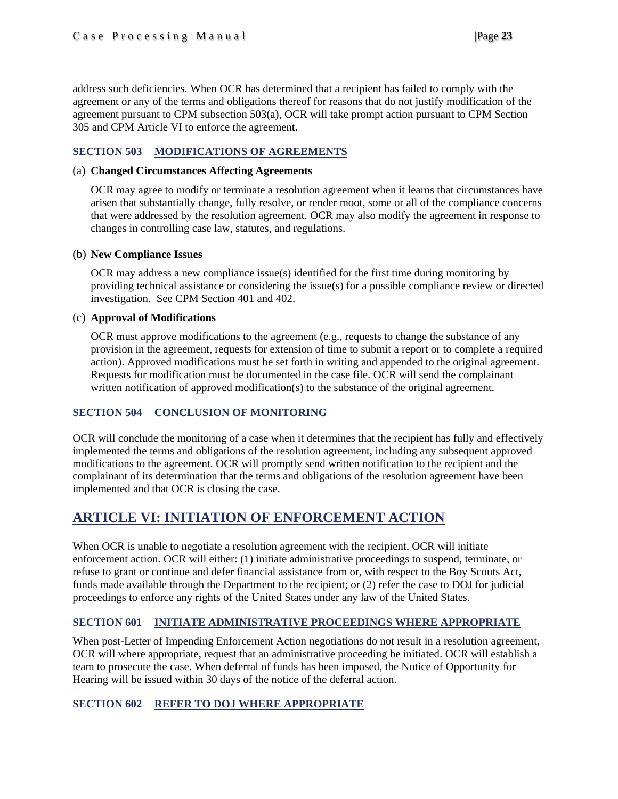address such deficiencies. When OCR has determined that a recipient has failed to comply with the agreement or any of the terms and obligations thereof for reasons that do not justify modification of the agreement pursuant to CPM subsection 503(a), OCR will take prompt action pursuant to CPM Section 305 and CPM Article VI to enforce the agreement.

### <span id="page-22-0"></span>**SECTION 503 MODIFICATIONS OF AGREEMENTS**

### (a) **Changed Circumstances Affecting Agreements**

OCR may agree to modify or terminate a resolution agreement when it learns that circumstances have arisen that substantially change, fully resolve, or render moot, some or all of the compliance concerns that were addressed by the resolution agreement. OCR may also modify the agreement in response to changes in controlling case law, statutes, and regulations.

### (b) **New Compliance Issues**

OCR may address a new compliance issue(s) identified for the first time during monitoring by providing technical assistance or considering the issue(s) for a possible compliance review or directed investigation. See CPM Section 401 and 402.

### (c) **Approval of Modifications**

OCR must approve modifications to the agreement (e.g., requests to change the substance of any provision in the agreement, requests for extension of time to submit a report or to complete a required action). Approved modifications must be set forth in writing and appended to the original agreement. Requests for modification must be documented in the case file. OCR will send the complainant written notification of approved modification(s) to the substance of the original agreement.

### <span id="page-22-1"></span>**SECTION 504 CONCLUSION OF MONITORING**

OCR will conclude the monitoring of a case when it determines that the recipient has fully and effectively implemented the terms and obligations of the resolution agreement, including any subsequent approved modifications to the agreement. OCR will promptly send written notification to the recipient and the complainant of its determination that the terms and obligations of the resolution agreement have been implemented and that OCR is closing the case.

### <span id="page-22-2"></span>**ARTICLE VI: INITIATION OF ENFORCEMENT ACTION**

When OCR is unable to negotiate a resolution agreement with the recipient, OCR will initiate enforcement action. OCR will either: (1) initiate administrative proceedings to suspend, terminate, or refuse to grant or continue and defer financial assistance from or, with respect to the Boy Scouts Act, funds made available through the Department to the recipient; or (2) refer the case to DOJ for judicial proceedings to enforce any rights of the United States under any law of the United States.

### <span id="page-22-3"></span>**SECTION 601 INITIATE ADMINISTRATIVE PROCEEDINGS WHERE APPROPRIATE**

When post-Letter of Impending Enforcement Action negotiations do not result in a resolution agreement, OCR will where appropriate, request that an administrative proceeding be initiated. OCR will establish a team to prosecute the case. When deferral of funds has been imposed, the Notice of Opportunity for Hearing will be issued within 30 days of the notice of the deferral action.

### <span id="page-22-4"></span>**SECTION 602 REFER TO DOJ WHERE APPROPRIATE**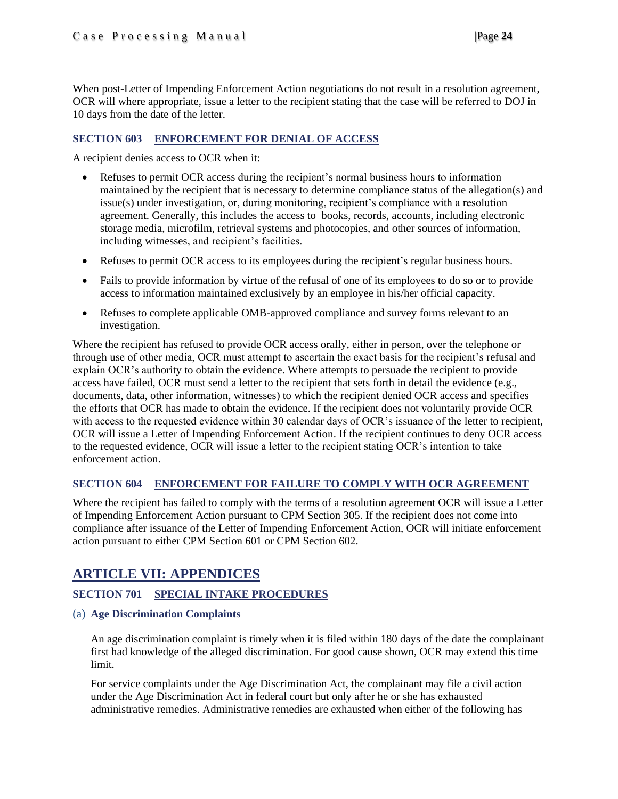When post-Letter of Impending Enforcement Action negotiations do not result in a resolution agreement, OCR will where appropriate, issue a letter to the recipient stating that the case will be referred to DOJ in 10 days from the date of the letter.

### <span id="page-23-0"></span>**SECTION 603 ENFORCEMENT FOR DENIAL OF ACCESS**

A recipient denies access to OCR when it:

- Refuses to permit OCR access during the recipient's normal business hours to information maintained by the recipient that is necessary to determine compliance status of the allegation(s) and issue(s) under investigation, or, during monitoring, recipient's compliance with a resolution agreement. Generally, this includes the access to books, records, accounts, including electronic storage media, microfilm, retrieval systems and photocopies, and other sources of information, including witnesses, and recipient's facilities.
- Refuses to permit OCR access to its employees during the recipient's regular business hours.
- Fails to provide information by virtue of the refusal of one of its employees to do so or to provide access to information maintained exclusively by an employee in his/her official capacity.
- Refuses to complete applicable OMB-approved compliance and survey forms relevant to an investigation.

Where the recipient has refused to provide OCR access orally, either in person, over the telephone or through use of other media, OCR must attempt to ascertain the exact basis for the recipient's refusal and explain OCR's authority to obtain the evidence. Where attempts to persuade the recipient to provide access have failed, OCR must send a letter to the recipient that sets forth in detail the evidence (e.g., documents, data, other information, witnesses) to which the recipient denied OCR access and specifies the efforts that OCR has made to obtain the evidence. If the recipient does not voluntarily provide OCR with access to the requested evidence within 30 calendar days of OCR's issuance of the letter to recipient, OCR will issue a Letter of Impending Enforcement Action. If the recipient continues to deny OCR access to the requested evidence, OCR will issue a letter to the recipient stating OCR's intention to take enforcement action.

### <span id="page-23-1"></span>**SECTION 604 ENFORCEMENT FOR FAILURE TO COMPLY WITH OCR AGREEMENT**

Where the recipient has failed to comply with the terms of a resolution agreement OCR will issue a Letter of Impending Enforcement Action pursuant to CPM Section 305. If the recipient does not come into compliance after issuance of the Letter of Impending Enforcement Action, OCR will initiate enforcement action pursuant to either CPM Section 601 or CPM Section 602.

### <span id="page-23-2"></span>**ARTICLE VII: APPENDICES**

### <span id="page-23-3"></span>**SECTION 701 SPECIAL INTAKE PROCEDURES**

### <span id="page-23-4"></span>(a) **Age Discrimination Complaints**

An age discrimination complaint is timely when it is filed within 180 days of the date the complainant first had knowledge of the alleged discrimination. For good cause shown, OCR may extend this time limit.

For service complaints under the Age Discrimination Act, the complainant may file a civil action under the Age Discrimination Act in federal court but only after he or she has exhausted administrative remedies. Administrative remedies are exhausted when either of the following has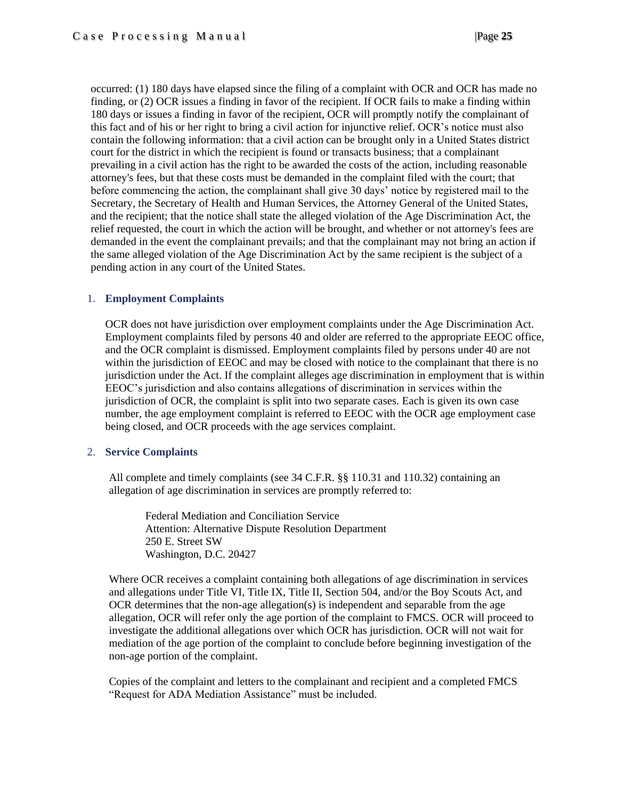occurred: (1) 180 days have elapsed since the filing of a complaint with OCR and OCR has made no finding, or (2) OCR issues a finding in favor of the recipient. If OCR fails to make a finding within 180 days or issues a finding in favor of the recipient, OCR will promptly notify the complainant of this fact and of his or her right to bring a civil action for injunctive relief. OCR's notice must also contain the following information: that a civil action can be brought only in a United States district court for the district in which the recipient is found or transacts business; that a complainant prevailing in a civil action has the right to be awarded the costs of the action, including reasonable attorney's fees, but that these costs must be demanded in the complaint filed with the court; that before commencing the action, the complainant shall give 30 days' notice by registered mail to the Secretary, the Secretary of Health and Human Services, the Attorney General of the United States, and the recipient; that the notice shall state the alleged violation of the Age Discrimination Act, the relief requested, the court in which the action will be brought, and whether or not attorney's fees are demanded in the event the complainant prevails; and that the complainant may not bring an action if the same alleged violation of the Age Discrimination Act by the same recipient is the subject of a pending action in any court of the United States.

### 1. **Employment Complaints**

OCR does not have jurisdiction over employment complaints under the Age Discrimination Act. Employment complaints filed by persons 40 and older are referred to the appropriate EEOC office, and the OCR complaint is dismissed. Employment complaints filed by persons under 40 are not within the jurisdiction of EEOC and may be closed with notice to the complainant that there is no jurisdiction under the Act. If the complaint alleges age discrimination in employment that is within EEOC's jurisdiction and also contains allegations of discrimination in services within the jurisdiction of OCR, the complaint is split into two separate cases. Each is given its own case number, the age employment complaint is referred to EEOC with the OCR age employment case being closed, and OCR proceeds with the age services complaint.

#### 2. **Service Complaints**

All complete and timely complaints (see 34 C.F.R. §§ 110.31 and 110.32) containing an allegation of age discrimination in services are promptly referred to:

Federal Mediation and Conciliation Service Attention: Alternative Dispute Resolution Department 250 E. Street SW Washington, D.C. 20427

Where OCR receives a complaint containing both allegations of age discrimination in services and allegations under Title VI, Title IX, Title II, Section 504, and/or the Boy Scouts Act, and OCR determines that the non-age allegation(s) is independent and separable from the age allegation, OCR will refer only the age portion of the complaint to FMCS. OCR will proceed to investigate the additional allegations over which OCR has jurisdiction. OCR will not wait for mediation of the age portion of the complaint to conclude before beginning investigation of the non-age portion of the complaint.

Copies of the complaint and letters to the complainant and recipient and a completed FMCS "Request for ADA Mediation Assistance" must be included.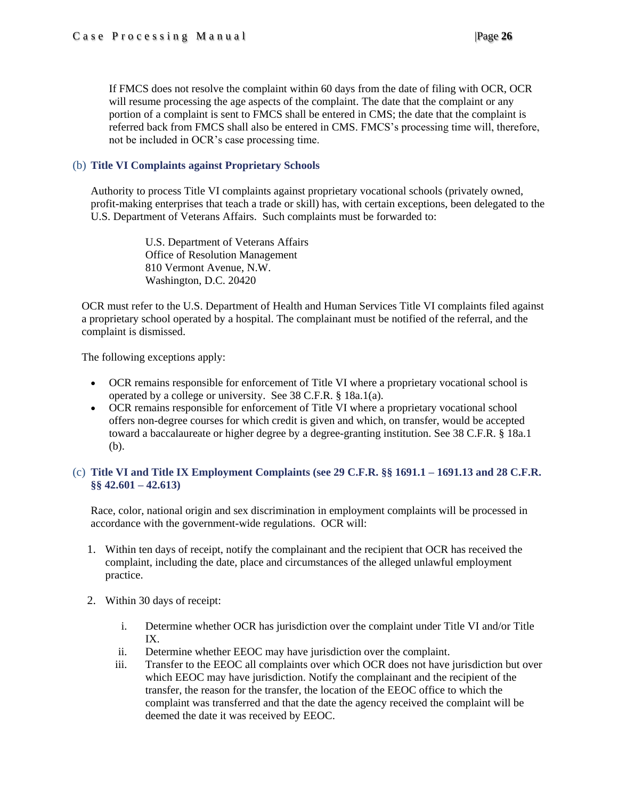If FMCS does not resolve the complaint within 60 days from the date of filing with OCR, OCR will resume processing the age aspects of the complaint. The date that the complaint or any portion of a complaint is sent to FMCS shall be entered in CMS; the date that the complaint is referred back from FMCS shall also be entered in CMS. FMCS's processing time will, therefore, not be included in OCR's case processing time.

### <span id="page-25-0"></span>(b) **Title VI Complaints against Proprietary Schools**

Authority to process Title VI complaints against proprietary vocational schools (privately owned, profit-making enterprises that teach a trade or skill) has, with certain exceptions, been delegated to the U.S. Department of Veterans Affairs. Such complaints must be forwarded to:

> U.S. Department of Veterans Affairs Office of Resolution Management 810 Vermont Avenue, N.W. Washington, D.C. 20420

OCR must refer to the U.S. Department of Health and Human Services Title VI complaints filed against a proprietary school operated by a hospital. The complainant must be notified of the referral, and the complaint is dismissed.

The following exceptions apply:

- OCR remains responsible for enforcement of Title VI where a proprietary vocational school is operated by a college or university. See 38 C.F.R. § 18a.1(a).
- OCR remains responsible for enforcement of Title VI where a proprietary vocational school offers non-degree courses for which credit is given and which, on transfer, would be accepted toward a baccalaureate or higher degree by a degree-granting institution. See 38 C.F.R. § 18a.1 (b).

### <span id="page-25-1"></span>(c) **Title VI and Title IX Employment Complaints (see 29 C.F.R. §§ 1691.1 – 1691.13 and 28 C.F.R. §§ 42.601 – 42.613)**

Race, color, national origin and sex discrimination in employment complaints will be processed in accordance with the government-wide regulations. OCR will:

- 1. Within ten days of receipt, notify the complainant and the recipient that OCR has received the complaint, including the date, place and circumstances of the alleged unlawful employment practice.
- 2. Within 30 days of receipt:
	- i. Determine whether OCR has jurisdiction over the complaint under Title VI and/or Title IX.
	- ii. Determine whether EEOC may have jurisdiction over the complaint.
	- iii. Transfer to the EEOC all complaints over which OCR does not have jurisdiction but over which EEOC may have jurisdiction. Notify the complainant and the recipient of the transfer, the reason for the transfer, the location of the EEOC office to which the complaint was transferred and that the date the agency received the complaint will be deemed the date it was received by EEOC.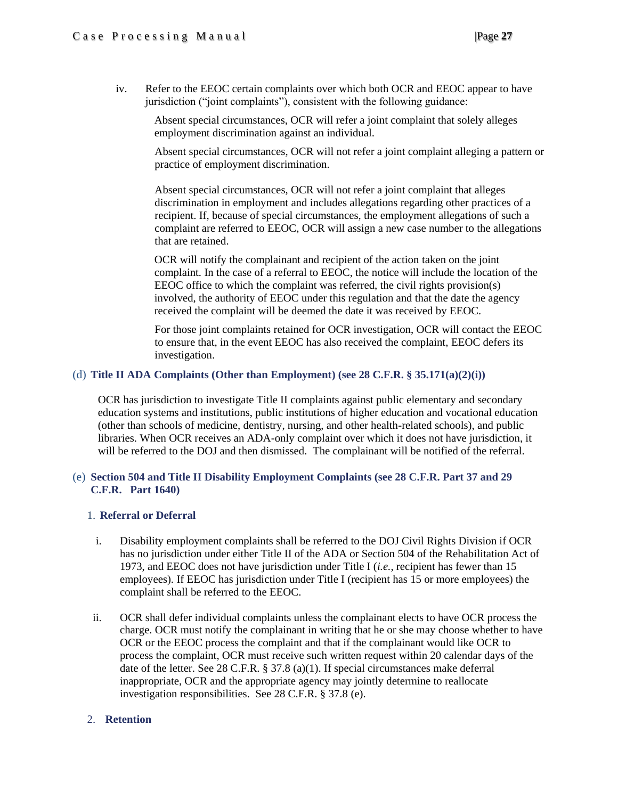iv. Refer to the EEOC certain complaints over which both OCR and EEOC appear to have jurisdiction ("joint complaints"), consistent with the following guidance:

Absent special circumstances, OCR will refer a joint complaint that solely alleges employment discrimination against an individual.

Absent special circumstances, OCR will not refer a joint complaint alleging a pattern or practice of employment discrimination.

Absent special circumstances, OCR will not refer a joint complaint that alleges discrimination in employment and includes allegations regarding other practices of a recipient. If, because of special circumstances, the employment allegations of such a complaint are referred to EEOC, OCR will assign a new case number to the allegations that are retained.

OCR will notify the complainant and recipient of the action taken on the joint complaint. In the case of a referral to EEOC, the notice will include the location of the EEOC office to which the complaint was referred, the civil rights provision(s) involved, the authority of EEOC under this regulation and that the date the agency received the complaint will be deemed the date it was received by EEOC.

For those joint complaints retained for OCR investigation, OCR will contact the EEOC to ensure that, in the event EEOC has also received the complaint, EEOC defers its investigation.

### <span id="page-26-0"></span>(d) **Title II ADA Complaints (Other than Employment) (see 28 C.F.R.**  $\frac{8}{3}$  **35.171(a)(2)(i))**

OCR has jurisdiction to investigate Title II complaints against public elementary and secondary education systems and institutions, public institutions of higher education and vocational education (other than schools of medicine, dentistry, nursing, and other health-related schools), and public libraries. When OCR receives an ADA-only complaint over which it does not have jurisdiction, it will be referred to the DOJ and then dismissed. The complainant will be notified of the referral.

### <span id="page-26-1"></span>(e) **Section 504 and Title II Disability Employment Complaints (see 28 C.F.R. Part 37 and 29 C.F.R. Part 1640)**

### 1. **Referral or Deferral**

- i. Disability employment complaints shall be referred to the DOJ Civil Rights Division if OCR has no jurisdiction under either Title II of the ADA or Section 504 of the Rehabilitation Act of 1973, and EEOC does not have jurisdiction under Title I (*i.e.*, recipient has fewer than 15 employees). If EEOC has jurisdiction under Title I (recipient has 15 or more employees) the complaint shall be referred to the EEOC.
- ii. OCR shall defer individual complaints unless the complainant elects to have OCR process the charge. OCR must notify the complainant in writing that he or she may choose whether to have OCR or the EEOC process the complaint and that if the complainant would like OCR to process the complaint, OCR must receive such written request within 20 calendar days of the date of the letter. See 28 C.F.R. § 37.8 (a)(1). If special circumstances make deferral inappropriate, OCR and the appropriate agency may jointly determine to reallocate investigation responsibilities. See 28 C.F.R. § 37.8 (e).

### 2. **Retention**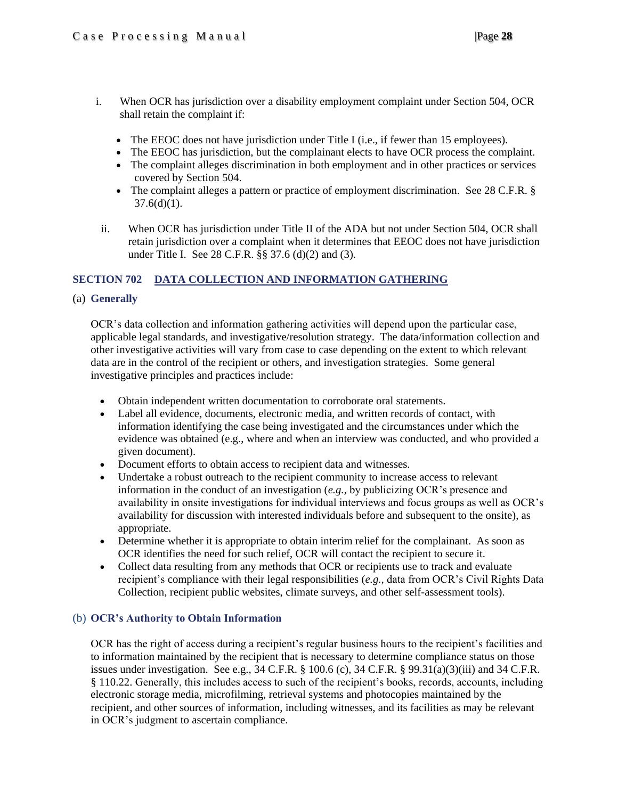- i. When OCR has jurisdiction over a disability employment complaint under Section 504, OCR shall retain the complaint if:
	- The EEOC does not have jurisdiction under Title I (i.e., if fewer than 15 employees).
	- The EEOC has jurisdiction, but the complainant elects to have OCR process the complaint.
	- The complaint alleges discrimination in both employment and in other practices or services covered by Section 504.
	- The complaint alleges a pattern or practice of employment discrimination. See 28 C.F.R. §  $37.6(d)(1)$ .
- ii. When OCR has jurisdiction under Title II of the ADA but not under Section 504, OCR shall retain jurisdiction over a complaint when it determines that EEOC does not have jurisdiction under Title I. See 28 C.F.R. §§ 37.6 (d)(2) and (3).

### <span id="page-27-0"></span>**SECTION 702 DATA COLLECTION AND INFORMATION GATHERING**

### <span id="page-27-1"></span>(a) **Generally**

OCR's data collection and information gathering activities will depend upon the particular case, applicable legal standards, and investigative/resolution strategy. The data/information collection and other investigative activities will vary from case to case depending on the extent to which relevant data are in the control of the recipient or others, and investigation strategies. Some general investigative principles and practices include:

- Obtain independent written documentation to corroborate oral statements.
- Label all evidence, documents, electronic media, and written records of contact, with information identifying the case being investigated and the circumstances under which the evidence was obtained (e.g., where and when an interview was conducted, and who provided a given document).
- Document efforts to obtain access to recipient data and witnesses.
- Undertake a robust outreach to the recipient community to increase access to relevant information in the conduct of an investigation (*e.g.,* by publicizing OCR's presence and availability in onsite investigations for individual interviews and focus groups as well as OCR's availability for discussion with interested individuals before and subsequent to the onsite), as appropriate.
- Determine whether it is appropriate to obtain interim relief for the complainant. As soon as OCR identifies the need for such relief, OCR will contact the recipient to secure it.
- Collect data resulting from any methods that OCR or recipients use to track and evaluate recipient's compliance with their legal responsibilities (*e.g.,* data from OCR's Civil Rights Data Collection, recipient public websites, climate surveys, and other self-assessment tools).

### <span id="page-27-2"></span>(b) **OCR's Authority to Obtain Information**

OCR has the right of access during a recipient's regular business hours to the recipient's facilities and to information maintained by the recipient that is necessary to determine compliance status on those issues under investigation. See e.g., 34 C.F.R.  $\S$  100.6 (c), 34 C.F.R.  $\S$  99.31(a)(3)(iii) and 34 C.F.R. § 110.22. Generally, this includes access to such of the recipient's books, records, accounts, including electronic storage media, microfilming, retrieval systems and photocopies maintained by the recipient, and other sources of information, including witnesses, and its facilities as may be relevant in OCR's judgment to ascertain compliance.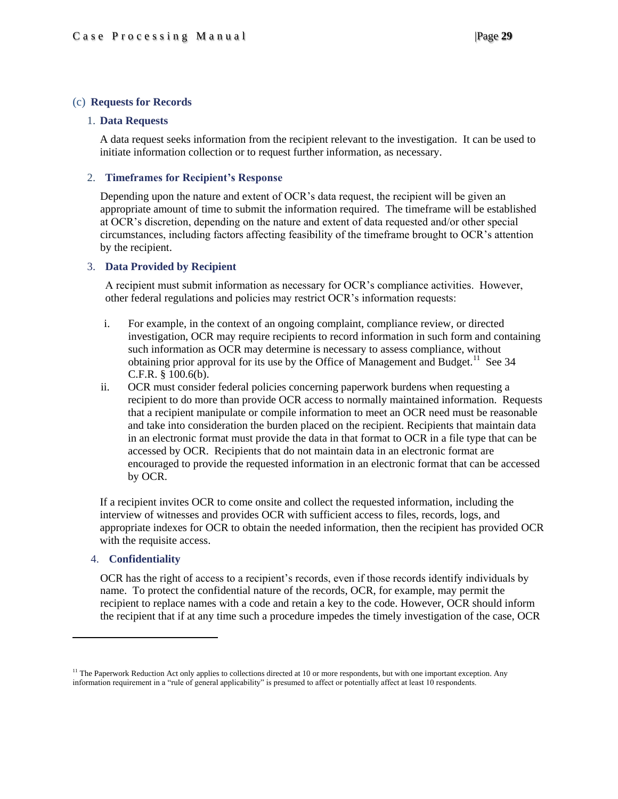#### <span id="page-28-0"></span>(c) **Requests for Records**

#### 1. **Data Requests**

A data request seeks information from the recipient relevant to the investigation. It can be used to initiate information collection or to request further information, as necessary.

#### 2. **Timeframes for Recipient's Response**

Depending upon the nature and extent of OCR's data request, the recipient will be given an appropriate amount of time to submit the information required. The timeframe will be established at OCR's discretion, depending on the nature and extent of data requested and/or other special circumstances, including factors affecting feasibility of the timeframe brought to OCR's attention by the recipient.

#### 3. **Data Provided by Recipient**

A recipient must submit information as necessary for OCR's compliance activities. However, other federal regulations and policies may restrict OCR's information requests:

- i. For example, in the context of an ongoing complaint, compliance review, or directed investigation, OCR may require recipients to record information in such form and containing such information as OCR may determine is necessary to assess compliance, without obtaining prior approval for its use by the Office of Management and Budget.<sup>11</sup> See 34 C.F.R. § 100.6(b).
- ii. OCR must consider federal policies concerning paperwork burdens when requesting a recipient to do more than provide OCR access to normally maintained information. Requests that a recipient manipulate or compile information to meet an OCR need must be reasonable and take into consideration the burden placed on the recipient. Recipients that maintain data in an electronic format must provide the data in that format to OCR in a file type that can be accessed by OCR. Recipients that do not maintain data in an electronic format are encouraged to provide the requested information in an electronic format that can be accessed by OCR.

If a recipient invites OCR to come onsite and collect the requested information, including the interview of witnesses and provides OCR with sufficient access to files, records, logs, and appropriate indexes for OCR to obtain the needed information, then the recipient has provided OCR with the requisite access.

#### 4. **Confidentiality**

 $\overline{\phantom{a}}$ 

OCR has the right of access to a recipient's records, even if those records identify individuals by name. To protect the confidential nature of the records, OCR, for example, may permit the recipient to replace names with a code and retain a key to the code. However, OCR should inform the recipient that if at any time such a procedure impedes the timely investigation of the case, OCR

 $<sup>11</sup>$  The Paperwork Reduction Act only applies to collections directed at 10 or more respondents, but with one important exception. Any</sup> information requirement in a "rule of general applicability" is presumed to affect or potentially affect at least 10 respondents.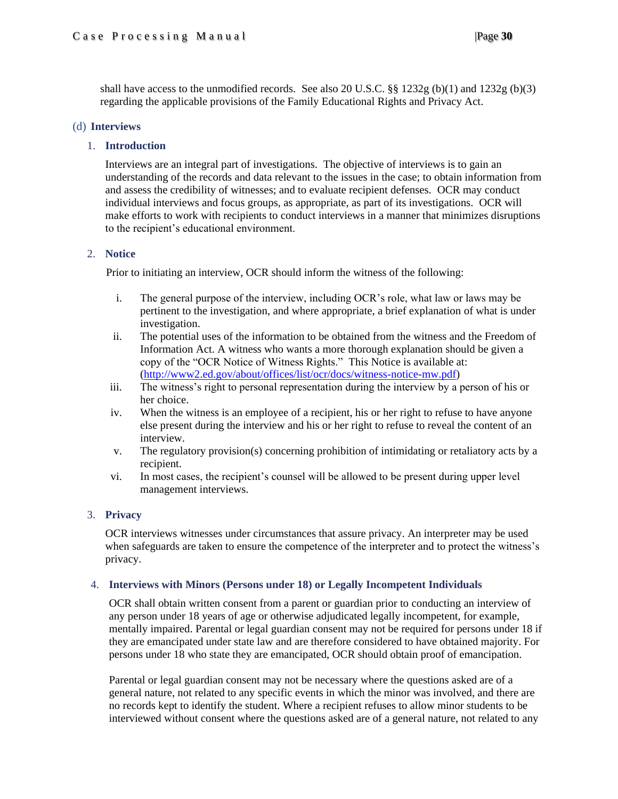shall have access to the unmodified records. See also 20 U.S.C. §§ 1232g (b)(1) and 1232g (b)(3) regarding the applicable provisions of the Family Educational Rights and Privacy Act.

### <span id="page-29-1"></span><span id="page-29-0"></span>(d) **Interviews**

### 1. **Introduction**

Interviews are an integral part of investigations. The objective of interviews is to gain an understanding of the records and data relevant to the issues in the case; to obtain information from and assess the credibility of witnesses; and to evaluate recipient defenses. OCR may conduct individual interviews and focus groups, as appropriate, as part of its investigations. OCR will make efforts to work with recipients to conduct interviews in a manner that minimizes disruptions to the recipient's educational environment.

### <span id="page-29-2"></span>2. **Notice**

Prior to initiating an interview, OCR should inform the witness of the following:

- i. The general purpose of the interview, including OCR's role, what law or laws may be pertinent to the investigation, and where appropriate, a brief explanation of what is under investigation.
- ii. The potential uses of the information to be obtained from the witness and the Freedom of Information Act. A witness who wants a more thorough explanation should be given a copy of the "OCR Notice of Witness Rights." This Notice is available at: [\(http://www2.ed.gov/about/offices/list/ocr/docs/witness-notice-mw.pdf\)](http://www2.ed.gov/about/offices/list/ocr/docs/witness-notice-mw.pdf)
- iii. The witness's right to personal representation during the interview by a person of his or her choice.
- iv. When the witness is an employee of a recipient, his or her right to refuse to have anyone else present during the interview and his or her right to refuse to reveal the content of an interview.
- v. The regulatory provision(s) concerning prohibition of intimidating or retaliatory acts by a recipient.
- vi. In most cases, the recipient's counsel will be allowed to be present during upper level management interviews.

### <span id="page-29-3"></span>3. **Privacy**

OCR interviews witnesses under circumstances that assure privacy. An interpreter may be used when safeguards are taken to ensure the competence of the interpreter and to protect the witness's privacy.

### <span id="page-29-4"></span>4. **Interviews with Minors (Persons under 18) or Legally Incompetent Individuals**

OCR shall obtain written consent from a parent or guardian prior to conducting an interview of any person under 18 years of age or otherwise adjudicated legally incompetent, for example, mentally impaired. Parental or legal guardian consent may not be required for persons under 18 if they are emancipated under state law and are therefore considered to have obtained majority. For persons under 18 who state they are emancipated, OCR should obtain proof of emancipation.

Parental or legal guardian consent may not be necessary where the questions asked are of a general nature, not related to any specific events in which the minor was involved, and there are no records kept to identify the student. Where a recipient refuses to allow minor students to be interviewed without consent where the questions asked are of a general nature, not related to any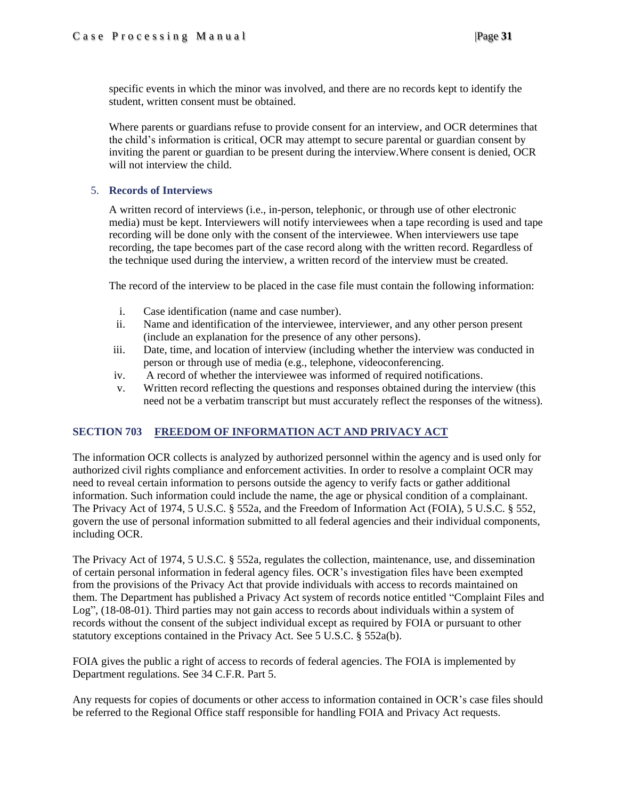specific events in which the minor was involved, and there are no records kept to identify the student, written consent must be obtained.

Where parents or guardians refuse to provide consent for an interview, and OCR determines that the child's information is critical, OCR may attempt to secure parental or guardian consent by inviting the parent or guardian to be present during the interview.Where consent is denied, OCR will not interview the child.

### <span id="page-30-0"></span>5. **Records of Interviews**

A written record of interviews (i.e., in-person, telephonic, or through use of other electronic media) must be kept. Interviewers will notify interviewees when a tape recording is used and tape recording will be done only with the consent of the interviewee. When interviewers use tape recording, the tape becomes part of the case record along with the written record. Regardless of the technique used during the interview, a written record of the interview must be created.

The record of the interview to be placed in the case file must contain the following information:

- i. Case identification (name and case number).
- ii. Name and identification of the interviewee, interviewer, and any other person present (include an explanation for the presence of any other persons).
- iii. Date, time, and location of interview (including whether the interview was conducted in person or through use of media (e.g., telephone, videoconferencing.
- iv. A record of whether the interviewee was informed of required notifications.
- v. Written record reflecting the questions and responses obtained during the interview (this need not be a verbatim transcript but must accurately reflect the responses of the witness).

### <span id="page-30-1"></span>**SECTION 703 FREEDOM OF INFORMATION ACT AND PRIVACY ACT**

The information OCR collects is analyzed by authorized personnel within the agency and is used only for authorized civil rights compliance and enforcement activities. In order to resolve a complaint OCR may need to reveal certain information to persons outside the agency to verify facts or gather additional information. Such information could include the name, the age or physical condition of a complainant. The Privacy Act of 1974, 5 U.S.C. § 552a, and the Freedom of Information Act (FOIA), 5 U.S.C. § 552, govern the use of personal information submitted to all federal agencies and their individual components, including OCR.

The Privacy Act of 1974, 5 U.S.C. § 552a, regulates the collection, maintenance, use, and dissemination of certain personal information in federal agency files. OCR's investigation files have been exempted from the provisions of the Privacy Act that provide individuals with access to records maintained on them. The Department has published a Privacy Act system of records notice entitled "Complaint Files and Log", (18-08-01). Third parties may not gain access to records about individuals within a system of records without the consent of the subject individual except as required by FOIA or pursuant to other statutory exceptions contained in the Privacy Act. See 5 U.S.C. § 552a(b).

FOIA gives the public a right of access to records of federal agencies. The FOIA is implemented by Department regulations. See 34 C.F.R. Part 5.

Any requests for copies of documents or other access to information contained in OCR's case files should be referred to the Regional Office staff responsible for handling FOIA and Privacy Act requests.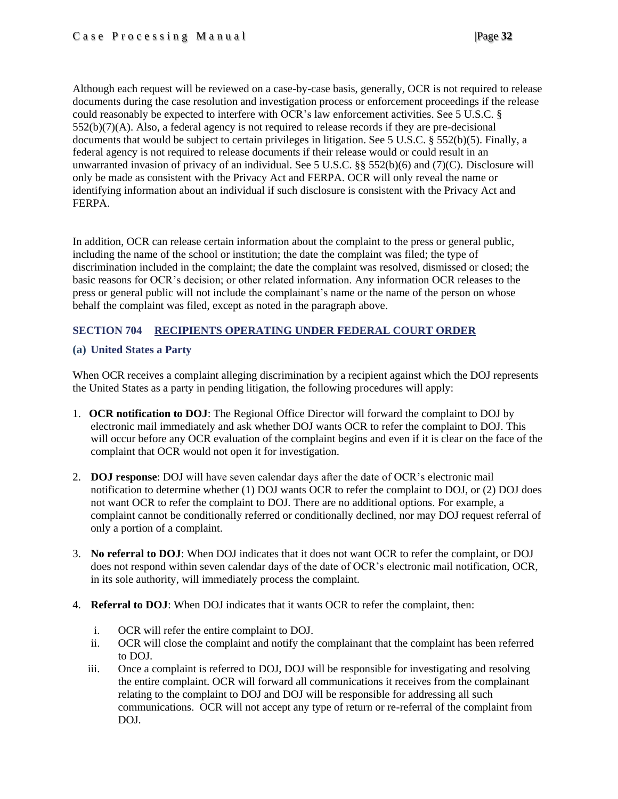Although each request will be reviewed on a case-by-case basis, generally, OCR is not required to release documents during the case resolution and investigation process or enforcement proceedings if the release could reasonably be expected to interfere with OCR's law enforcement activities. See 5 U.S.C. §  $552(b)(7)(A)$ . Also, a federal agency is not required to release records if they are pre-decisional documents that would be subject to certain privileges in litigation. See 5 U.S.C. § 552(b)(5). Finally, a federal agency is not required to release documents if their release would or could result in an unwarranted invasion of privacy of an individual. See 5 U.S.C. §§ 552(b)(6) and (7)(C). Disclosure will only be made as consistent with the Privacy Act and FERPA. OCR will only reveal the name or identifying information about an individual if such disclosure is consistent with the Privacy Act and FERPA.

In addition, OCR can release certain information about the complaint to the press or general public, including the name of the school or institution; the date the complaint was filed; the type of discrimination included in the complaint; the date the complaint was resolved, dismissed or closed; the basic reasons for OCR's decision; or other related information. Any information OCR releases to the press or general public will not include the complainant's name or the name of the person on whose behalf the complaint was filed, except as noted in the paragraph above.

### <span id="page-31-0"></span>**SECTION 704 RECIPIENTS OPERATING UNDER FEDERAL COURT ORDER**

### <span id="page-31-1"></span>**(a) United States a Party**

When OCR receives a complaint alleging discrimination by a recipient against which the DOJ represents the United States as a party in pending litigation, the following procedures will apply:

- 1. **OCR notification to DOJ**: The Regional Office Director will forward the complaint to DOJ by electronic mail immediately and ask whether DOJ wants OCR to refer the complaint to DOJ. This will occur before any OCR evaluation of the complaint begins and even if it is clear on the face of the complaint that OCR would not open it for investigation.
- 2. **DOJ response**: DOJ will have seven calendar days after the date of OCR's electronic mail notification to determine whether (1) DOJ wants OCR to refer the complaint to DOJ, or (2) DOJ does not want OCR to refer the complaint to DOJ. There are no additional options. For example, a complaint cannot be conditionally referred or conditionally declined, nor may DOJ request referral of only a portion of a complaint.
- 3. **No referral to DOJ**: When DOJ indicates that it does not want OCR to refer the complaint, or DOJ does not respond within seven calendar days of the date of OCR's electronic mail notification, OCR, in its sole authority, will immediately process the complaint.
- 4. **Referral to DOJ**: When DOJ indicates that it wants OCR to refer the complaint, then:
	- i. OCR will refer the entire complaint to DOJ.
	- ii. OCR will close the complaint and notify the complainant that the complaint has been referred to DOJ.
	- iii. Once a complaint is referred to DOJ, DOJ will be responsible for investigating and resolving the entire complaint. OCR will forward all communications it receives from the complainant relating to the complaint to DOJ and DOJ will be responsible for addressing all such communications. OCR will not accept any type of return or re-referral of the complaint from DOJ.